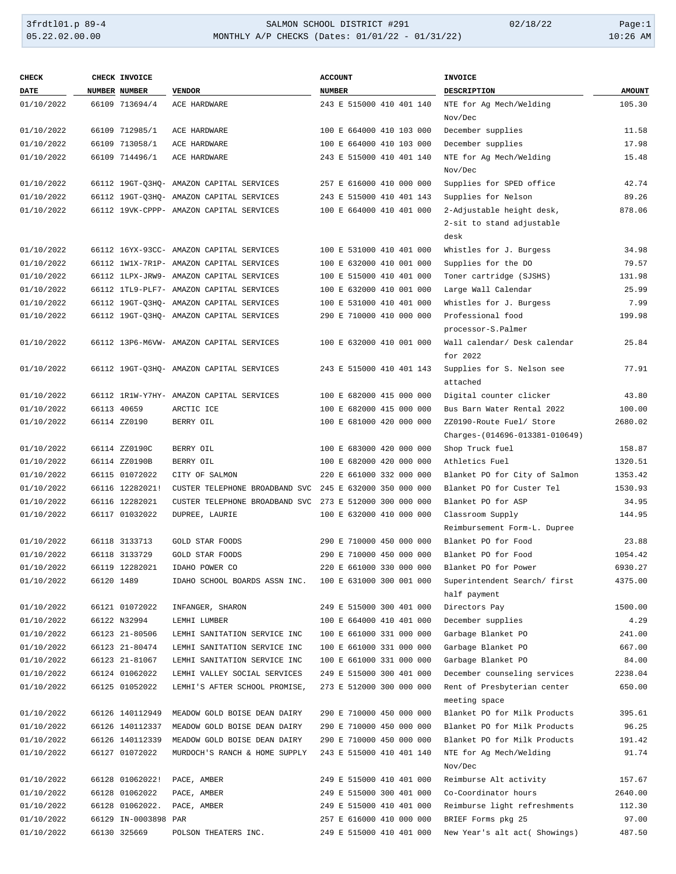## 3frdtl01.p 89-4 SALMON SCHOOL DISTRICT #291 02/18/22 Page:1 05.22.02.00.00 MONTHLY A/P CHECKS (Dates: 01/01/22 - 01/31/22) 10:26 AM

| <b>CHECK</b> |            | CHECK INVOICE        |                                                              | <b>ACCOUNT</b>           | <b>INVOICE</b>                                              |               |
|--------------|------------|----------------------|--------------------------------------------------------------|--------------------------|-------------------------------------------------------------|---------------|
| <b>DATE</b>  |            | NUMBER NUMBER        | <b>VENDOR</b>                                                | <b>NUMBER</b>            | DESCRIPTION                                                 | <b>AMOUNT</b> |
| 01/10/2022   |            | 66109 713694/4       | ACE HARDWARE                                                 | 243 E 515000 410 401 140 | NTE for Ag Mech/Welding                                     | 105.30        |
|              |            |                      |                                                              |                          | Nov/Dec                                                     |               |
| 01/10/2022   |            | 66109 712985/1       | ACE HARDWARE                                                 | 100 E 664000 410 103 000 | December supplies                                           | 11.58         |
| 01/10/2022   |            | 66109 713058/1       | ACE HARDWARE                                                 | 100 E 664000 410 103 000 | December supplies                                           | 17.98         |
| 01/10/2022   |            | 66109 714496/1       | ACE HARDWARE                                                 | 243 E 515000 410 401 140 | NTE for Ag Mech/Welding                                     | 15.48         |
|              |            |                      |                                                              |                          | Nov/Dec                                                     |               |
| 01/10/2022   |            |                      | 66112 19GT-Q3HQ- AMAZON CAPITAL SERVICES                     | 257 E 616000 410 000 000 | Supplies for SPED office                                    | 42.74         |
| 01/10/2022   |            |                      | 66112 19GT-Q3HQ- AMAZON CAPITAL SERVICES                     | 243 E 515000 410 401 143 | Supplies for Nelson                                         | 89.26         |
| 01/10/2022   |            |                      | 66112 19VK-CPPP- AMAZON CAPITAL SERVICES                     | 100 E 664000 410 401 000 | 2-Adjustable height desk,                                   | 878.06        |
|              |            |                      |                                                              |                          | 2-sit to stand adjustable                                   |               |
|              |            |                      |                                                              |                          | desk                                                        |               |
| 01/10/2022   |            |                      | 66112 16YX-93CC- AMAZON CAPITAL SERVICES                     | 100 E 531000 410 401 000 | Whistles for J. Burgess                                     | 34.98         |
| 01/10/2022   |            |                      | 66112 1W1X-7R1P- AMAZON CAPITAL SERVICES                     | 100 E 632000 410 001 000 | Supplies for the DO                                         | 79.57         |
| 01/10/2022   |            |                      | 66112 1LPX-JRW9- AMAZON CAPITAL SERVICES                     | 100 E 515000 410 401 000 | Toner cartridge (SJSHS)                                     | 131.98        |
| 01/10/2022   |            |                      | 66112 1TL9-PLF7- AMAZON CAPITAL SERVICES                     | 100 E 632000 410 001 000 | Large Wall Calendar                                         | 25.99         |
| 01/10/2022   |            |                      | 66112 19GT-Q3HQ- AMAZON CAPITAL SERVICES                     | 100 E 531000 410 401 000 | Whistles for J. Burgess                                     | 7.99          |
| 01/10/2022   |            |                      | 66112 19GT-Q3HQ- AMAZON CAPITAL SERVICES                     | 290 E 710000 410 000 000 | Professional food                                           | 199.98        |
|              |            |                      |                                                              |                          | processor-S.Palmer                                          |               |
| 01/10/2022   |            |                      | 66112 13P6-M6VW- AMAZON CAPITAL SERVICES                     | 100 E 632000 410 001 000 | Wall calendar/ Desk calendar                                | 25.84         |
|              |            |                      |                                                              |                          | for 2022                                                    |               |
| 01/10/2022   |            |                      | 66112 19GT-03HO- AMAZON CAPITAL SERVICES                     | 243 E 515000 410 401 143 | Supplies for S. Nelson see                                  | 77.91         |
|              |            |                      |                                                              |                          | attached                                                    |               |
| 01/10/2022   |            |                      | 66112 1R1W-Y7HY- AMAZON CAPITAL SERVICES                     | 100 E 682000 415 000 000 | Digital counter clicker                                     | 43.80         |
| 01/10/2022   |            | 66113 40659          | ARCTIC ICE                                                   | 100 E 682000 415 000 000 | Bus Barn Water Rental 2022                                  | 100.00        |
| 01/10/2022   |            | 66114 ZZ0190         | BERRY OIL                                                    | 100 E 681000 420 000 000 | ZZ0190-Route Fuel/ Store                                    | 2680.02       |
|              |            |                      |                                                              |                          | Charges-(014696-013381-010649)                              |               |
| 01/10/2022   |            | 66114 ZZ0190C        | BERRY OIL                                                    | 100 E 683000 420 000 000 | Shop Truck fuel                                             | 158.87        |
| 01/10/2022   |            | 66114 ZZ0190B        | BERRY OIL                                                    | 100 E 682000 420 000 000 | Athletics Fuel                                              | 1320.51       |
| 01/10/2022   |            | 66115 01072022       | CITY OF SALMON                                               | 220 E 661000 332 000 000 | Blanket PO for City of Salmon                               | 1353.42       |
| 01/10/2022   |            | 66116 12282021!      | CUSTER TELEPHONE BROADBAND SVC                               | 245 E 632000 350 000 000 | Blanket PO for Custer Tel                                   | 1530.93       |
| 01/10/2022   |            | 66116 12282021       | CUSTER TELEPHONE BROADBAND SVC                               | 273 E 512000 300 000 000 | Blanket PO for ASP                                          | 34.95         |
| 01/10/2022   |            | 66117 01032022       | DUPREE, LAURIE                                               | 100 E 632000 410 000 000 | Classroom Supply                                            | 144.95        |
|              |            |                      |                                                              |                          | Reimbursement Form-L. Dupree                                |               |
| 01/10/2022   |            | 66118 3133713        | GOLD STAR FOODS                                              | 290 E 710000 450 000 000 | Blanket PO for Food                                         | 23.88         |
| 01/10/2022   |            | 66118 3133729        | <b>GOLD STAR FOODS</b>                                       | 290 E 710000 450 000 000 | Blanket PO for Food                                         | 1054.42       |
| 01/10/2022   |            | 66119 12282021       | IDAHO POWER CO                                               | 220 E 661000 330 000 000 | Blanket PO for Power                                        | 6930.27       |
| 01/10/2022   | 66120 1489 |                      | IDAHO SCHOOL BOARDS ASSN INC.                                | 100 E 631000 300 001 000 | Superintendent Search/ first                                | 4375.00       |
|              |            |                      |                                                              |                          | half payment                                                |               |
| 01/10/2022   |            | 66121 01072022       | INFANGER, SHARON                                             | 249 E 515000 300 401 000 | Directors Pay                                               | 1500.00       |
| 01/10/2022   |            | 66122 N32994         | LEMHI LUMBER                                                 | 100 E 664000 410 401 000 | December supplies                                           | 4.29          |
| 01/10/2022   |            | 66123 21-80506       | LEMHI SANITATION SERVICE INC                                 | 100 E 661000 331 000 000 | Garbage Blanket PO                                          | 241.00        |
| 01/10/2022   |            | 66123 21-80474       |                                                              | 100 E 661000 331 000 000 | Garbage Blanket PO                                          | 667.00        |
| 01/10/2022   |            | 66123 21-81067       | LEMHI SANITATION SERVICE INC                                 | 100 E 661000 331 000 000 | Garbage Blanket PO                                          | 84.00         |
|              |            |                      | LEMHI SANITATION SERVICE INC<br>LEMHI VALLEY SOCIAL SERVICES | 249 E 515000 300 401 000 |                                                             |               |
| 01/10/2022   |            | 66124 01062022       |                                                              |                          | December counseling services<br>Rent of Presbyterian center | 2238.04       |
| 01/10/2022   |            | 66125 01052022       | LEMHI'S AFTER SCHOOL PROMISE,                                | 273 E 512000 300 000 000 |                                                             | 650.00        |
|              |            |                      |                                                              |                          | meeting space                                               |               |
| 01/10/2022   |            | 66126 140112949      | MEADOW GOLD BOISE DEAN DAIRY                                 | 290 E 710000 450 000 000 | Blanket PO for Milk Products                                | 395.61        |
| 01/10/2022   |            | 66126 140112337      | MEADOW GOLD BOISE DEAN DAIRY                                 | 290 E 710000 450 000 000 | Blanket PO for Milk Products                                | 96.25         |
| 01/10/2022   |            | 66126 140112339      | MEADOW GOLD BOISE DEAN DAIRY                                 | 290 E 710000 450 000 000 | Blanket PO for Milk Products                                | 191.42        |
| 01/10/2022   |            | 66127 01072022       | MURDOCH'S RANCH & HOME SUPPLY                                | 243 E 515000 410 401 140 | NTE for Ag Mech/Welding                                     | 91.74         |
|              |            |                      |                                                              |                          | Nov/Dec                                                     |               |
| 01/10/2022   |            | 66128 01062022!      | PACE, AMBER                                                  | 249 E 515000 410 401 000 | Reimburse Alt activity                                      | 157.67        |
| 01/10/2022   |            | 66128 01062022       | PACE, AMBER                                                  | 249 E 515000 300 401 000 | Co-Coordinator hours                                        | 2640.00       |
| 01/10/2022   |            | 66128 01062022.      | PACE, AMBER                                                  | 249 E 515000 410 401 000 | Reimburse light refreshments                                | 112.30        |
| 01/10/2022   |            | 66129 IN-0003898 PAR |                                                              | 257 E 616000 410 000 000 | BRIEF Forms pkg 25                                          | 97.00         |
| 01/10/2022   |            | 66130 325669         | POLSON THEATERS INC.                                         | 249 E 515000 410 401 000 | New Year's alt act( Showings)                               | 487.50        |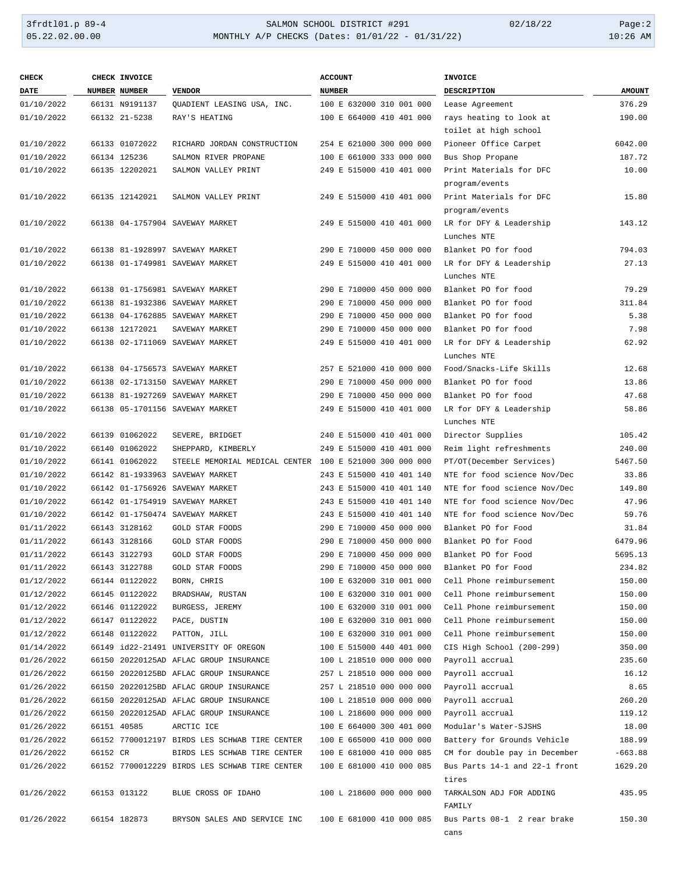### 3frdtl01.p 89-4 SALMON SCHOOL DISTRICT #291 02/18/22 Page:2 05.22.02.00.00 MONTHLY A/P CHECKS (Dates: 01/01/22 - 01/31/22) 10:26 AM

| <b>CHECK</b> |          | CHECK INVOICE        |                                                         | <b>ACCOUNT</b>           | <b>INVOICE</b>                |               |
|--------------|----------|----------------------|---------------------------------------------------------|--------------------------|-------------------------------|---------------|
| DATE         |          | <b>NUMBER NUMBER</b> | <b>VENDOR</b>                                           | <b>NUMBER</b>            | DESCRIPTION                   | <b>AMOUNT</b> |
| 01/10/2022   |          | 66131 N9191137       | QUADIENT LEASING USA, INC.                              | 100 E 632000 310 001 000 | Lease Agreement               | 376.29        |
| 01/10/2022   |          | 66132 21-5238        | RAY'S HEATING                                           | 100 E 664000 410 401 000 | rays heating to look at       | 190.00        |
|              |          |                      |                                                         |                          | toilet at high school         |               |
| 01/10/2022   |          | 66133 01072022       | RICHARD JORDAN CONSTRUCTION                             | 254 E 621000 300 000 000 | Pioneer Office Carpet         | 6042.00       |
| 01/10/2022   |          | 66134 125236         | SALMON RIVER PROPANE                                    | 100 E 661000 333 000 000 | Bus Shop Propane              | 187.72        |
| 01/10/2022   |          | 66135 12202021       | SALMON VALLEY PRINT                                     | 249 E 515000 410 401 000 | Print Materials for DFC       | 10.00         |
|              |          |                      |                                                         |                          | program/events                |               |
| 01/10/2022   |          | 66135 12142021       | SALMON VALLEY PRINT                                     | 249 E 515000 410 401 000 | Print Materials for DFC       | 15.80         |
|              |          |                      |                                                         |                          | program/events                |               |
| 01/10/2022   |          |                      | 66138 04-1757904 SAVEWAY MARKET                         | 249 E 515000 410 401 000 | LR for DFY & Leadership       | 143.12        |
|              |          |                      |                                                         |                          | Lunches NTE                   |               |
| 01/10/2022   |          |                      | 66138 81-1928997 SAVEWAY MARKET                         | 290 E 710000 450 000 000 | Blanket PO for food           | 794.03        |
| 01/10/2022   |          |                      | 66138 01-1749981 SAVEWAY MARKET                         | 249 E 515000 410 401 000 | LR for DFY & Leadership       | 27.13         |
|              |          |                      |                                                         |                          | Lunches NTE                   |               |
| 01/10/2022   |          |                      | 66138 01-1756981 SAVEWAY MARKET                         | 290 E 710000 450 000 000 | Blanket PO for food           | 79.29         |
| 01/10/2022   |          |                      | 66138 81-1932386 SAVEWAY MARKET                         | 290 E 710000 450 000 000 | Blanket PO for food           | 311.84        |
| 01/10/2022   |          |                      | 66138 04-1762885 SAVEWAY MARKET                         | 290 E 710000 450 000 000 | Blanket PO for food           | 5.38          |
| 01/10/2022   |          | 66138 12172021       | SAVEWAY MARKET                                          | 290 E 710000 450 000 000 | Blanket PO for food           | 7.98          |
| 01/10/2022   |          |                      | 66138 02-1711069 SAVEWAY MARKET                         | 249 E 515000 410 401 000 | LR for DFY & Leadership       | 62.92         |
|              |          |                      |                                                         |                          | Lunches NTE                   |               |
| 01/10/2022   |          |                      | 66138 04-1756573 SAVEWAY MARKET                         | 257 E 521000 410 000 000 | Food/Snacks-Life Skills       | 12.68         |
| 01/10/2022   |          |                      | 66138 02-1713150 SAVEWAY MARKET                         | 290 E 710000 450 000 000 | Blanket PO for food           | 13.86         |
| 01/10/2022   |          |                      | 66138 81-1927269 SAVEWAY MARKET                         | 290 E 710000 450 000 000 | Blanket PO for food           | 47.68         |
| 01/10/2022   |          |                      | 66138 05-1701156 SAVEWAY MARKET                         | 249 E 515000 410 401 000 | LR for DFY & Leadership       | 58.86         |
|              |          |                      |                                                         |                          | Lunches NTE                   |               |
| 01/10/2022   |          | 66139 01062022       | SEVERE, BRIDGET                                         | 240 E 515000 410 401 000 | Director Supplies             | 105.42        |
| 01/10/2022   |          | 66140 01062022       | SHEPPARD, KIMBERLY                                      | 249 E 515000 410 401 000 | Reim light refreshments       | 240.00        |
| 01/10/2022   |          | 66141 01062022       | STEELE MEMORIAL MEDICAL CENTER 100 E 521000 300 000 000 |                          | PT/OT(December Services)      | 5467.50       |
| 01/10/2022   |          |                      | 66142 81-1933963 SAVEWAY MARKET                         | 243 E 515000 410 401 140 | NTE for food science Nov/Dec  | 33.86         |
| 01/10/2022   |          |                      | 66142 01-1756926 SAVEWAY MARKET                         | 243 E 515000 410 401 140 | NTE for food science Nov/Dec  | 149.80        |
| 01/10/2022   |          |                      | 66142 01-1754919 SAVEWAY MARKET                         | 243 E 515000 410 401 140 | NTE for food science Nov/Dec  | 47.96         |
| 01/10/2022   |          |                      | 66142 01-1750474 SAVEWAY MARKET                         | 243 E 515000 410 401 140 | NTE for food science Nov/Dec  | 59.76         |
| 01/11/2022   |          | 66143 3128162        | GOLD STAR FOODS                                         | 290 E 710000 450 000 000 | Blanket PO for Food           | 31.84         |
| 01/11/2022   |          | 66143 3128166        | <b>GOLD STAR FOODS</b>                                  | 290 E 710000 450 000 000 | Blanket PO for Food           | 6479.96       |
| 01/11/2022   |          | 66143 3122793        | <b>GOLD STAR FOODS</b>                                  | 290 E 710000 450 000 000 | Blanket PO for Food           | 5695.13       |
| 01/11/2022   |          | 66143 3122788        | GOLD STAR FOODS                                         | 290 E 710000 450 000 000 | Blanket PO for Food           | 234.82        |
| 01/12/2022   |          | 66144 01122022       | BORN, CHRIS                                             | 100 E 632000 310 001 000 | Cell Phone reimbursement      | 150.00        |
| 01/12/2022   |          | 66145 01122022       | BRADSHAW, RUSTAN                                        | 100 E 632000 310 001 000 | Cell Phone reimbursement      | 150.00        |
| 01/12/2022   |          | 66146 01122022       | BURGESS, JEREMY                                         | 100 E 632000 310 001 000 | Cell Phone reimbursement      | 150.00        |
| 01/12/2022   |          | 66147 01122022       | PACE, DUSTIN                                            | 100 E 632000 310 001 000 | Cell Phone reimbursement      | 150.00        |
| 01/12/2022   |          | 66148 01122022       | PATTON, JILL                                            | 100 E 632000 310 001 000 | Cell Phone reimbursement      | 150.00        |
| 01/14/2022   |          |                      | 66149 id22-21491 UNIVERSITY OF OREGON                   | 100 E 515000 440 401 000 | CIS High School (200-299)     | 350.00        |
| 01/26/2022   |          |                      | 66150 20220125AD AFLAC GROUP INSURANCE                  | 100 L 218510 000 000 000 | Payroll accrual               | 235.60        |
| 01/26/2022   |          |                      | 66150 20220125BD AFLAC GROUP INSURANCE                  | 257 L 218510 000 000 000 | Payroll accrual               | 16.12         |
| 01/26/2022   |          |                      | 66150 20220125BD AFLAC GROUP INSURANCE                  | 257 L 218510 000 000 000 | Payroll accrual               | 8.65          |
| 01/26/2022   |          |                      | 66150 20220125AD AFLAC GROUP INSURANCE                  | 100 L 218510 000 000 000 | Payroll accrual               | 260.20        |
| 01/26/2022   |          |                      | 66150 20220125AD AFLAC GROUP INSURANCE                  | 100 L 218600 000 000 000 | Payroll accrual               | 119.12        |
| 01/26/2022   |          | 66151 40585          | ARCTIC ICE                                              | 100 E 664000 300 401 000 | Modular's Water-SJSHS         | 18.00         |
| 01/26/2022   |          |                      | 66152 7700012197 BIRDS LES SCHWAB TIRE CENTER           | 100 E 665000 410 000 000 | Battery for Grounds Vehicle   | 188.99        |
| 01/26/2022   | 66152 CR |                      | BIRDS LES SCHWAB TIRE CENTER                            | 100 E 681000 410 000 085 | CM for double pay in December | $-663.88$     |
| 01/26/2022   |          |                      | 66152 7700012229 BIRDS LES SCHWAB TIRE CENTER           | 100 E 681000 410 000 085 | Bus Parts 14-1 and 22-1 front | 1629.20       |
|              |          |                      |                                                         |                          | tires                         |               |
| 01/26/2022   |          | 66153 013122         | BLUE CROSS OF IDAHO                                     | 100 L 218600 000 000 000 | TARKALSON ADJ FOR ADDING      | 435.95        |
|              |          |                      |                                                         |                          | FAMILY                        |               |
| 01/26/2022   |          | 66154 182873         | BRYSON SALES AND SERVICE INC                            | 100 E 681000 410 000 085 | Bus Parts 08-1 2 rear brake   | 150.30        |
|              |          |                      |                                                         |                          | cans                          |               |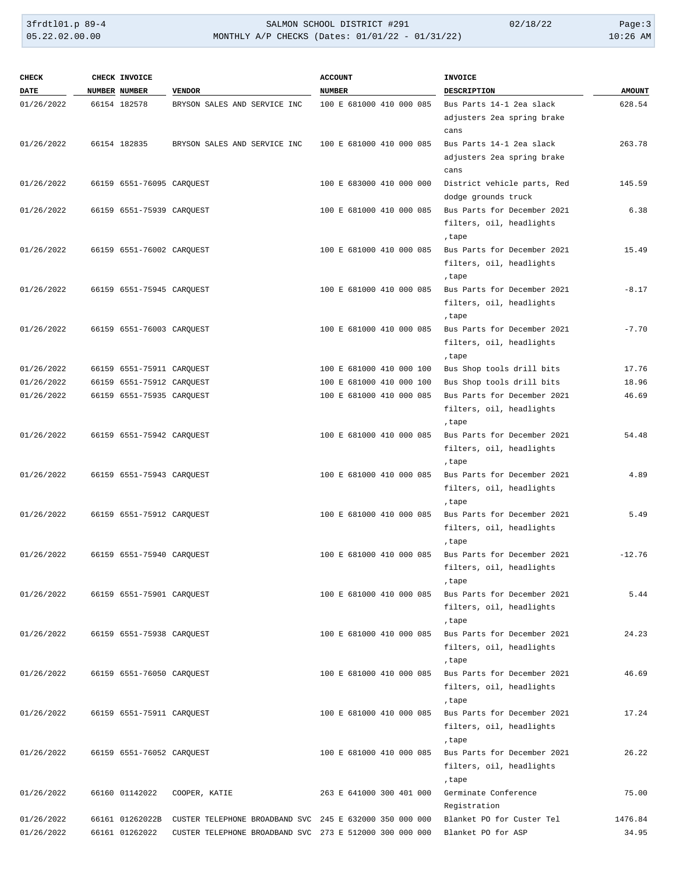| <b>CHECK</b> | CHECK INVOICE                   |                                                         | <b>ACCOUNT</b>           | <b>INVOICE</b>                                                   |               |
|--------------|---------------------------------|---------------------------------------------------------|--------------------------|------------------------------------------------------------------|---------------|
| DATE         | NUMBER NUMBER                   | <b>VENDOR</b>                                           | <b>NUMBER</b>            | DESCRIPTION                                                      | <b>AMOUNT</b> |
| 01/26/2022   | 66154 182578                    | BRYSON SALES AND SERVICE INC                            | 100 E 681000 410 000 085 | Bus Parts 14-1 2ea slack<br>adjusters 2ea spring brake<br>cans   | 628.54        |
| 01/26/2022   | 66154 182835                    | BRYSON SALES AND SERVICE INC                            | 100 E 681000 410 000 085 | Bus Parts 14-1 2ea slack<br>adjusters 2ea spring brake<br>cans   | 263.78        |
| 01/26/2022   | 66159 6551-76095 CARQUEST       |                                                         | 100 E 683000 410 000 000 | District vehicle parts, Red<br>dodge grounds truck               | 145.59        |
| 01/26/2022   | 66159 6551-75939 CARQUEST       |                                                         | 100 E 681000 410 000 085 | Bus Parts for December 2021<br>filters, oil, headlights<br>,tape | 6.38          |
| 01/26/2022   | 66159 6551-76002 CARQUEST       |                                                         | 100 E 681000 410 000 085 | Bus Parts for December 2021<br>filters, oil, headlights<br>,tape | 15.49         |
| 01/26/2022   | 66159 6551-75945 CARQUEST       |                                                         | 100 E 681000 410 000 085 | Bus Parts for December 2021<br>filters, oil, headlights<br>,tape | $-8.17$       |
| 01/26/2022   | 66159 6551-76003 CARQUEST       |                                                         | 100 E 681000 410 000 085 | Bus Parts for December 2021<br>filters, oil, headlights<br>,tape | $-7.70$       |
| 01/26/2022   | 66159 6551-75911 CAROUEST       |                                                         | 100 E 681000 410 000 100 | Bus Shop tools drill bits                                        | 17.76         |
| 01/26/2022   | 66159 6551-75912 CARQUEST       |                                                         | 100 E 681000 410 000 100 | Bus Shop tools drill bits                                        | 18.96         |
| 01/26/2022   | 66159 6551-75935 CARQUEST       |                                                         | 100 E 681000 410 000 085 | Bus Parts for December 2021<br>filters, oil, headlights<br>,tape | 46.69         |
| 01/26/2022   | 66159 6551-75942 CARQUEST       |                                                         | 100 E 681000 410 000 085 | Bus Parts for December 2021<br>filters, oil, headlights<br>,tape | 54.48         |
| 01/26/2022   | 66159 6551-75943 CARQUEST       |                                                         | 100 E 681000 410 000 085 | Bus Parts for December 2021<br>filters, oil, headlights<br>,tape | 4.89          |
| 01/26/2022   | 66159 6551-75912 CARQUEST       |                                                         | 100 E 681000 410 000 085 | Bus Parts for December 2021<br>filters, oil, headlights<br>,tape | 5.49          |
| 01/26/2022   | 66159 6551-75940 CARQUEST       |                                                         | 100 E 681000 410 000 085 | Bus Parts for December 2021<br>filters, oil, headlights<br>,tape | $-12.76$      |
| 01/26/2022   | 66159 6551-75901 CARQUEST       |                                                         | 100 E 681000 410 000 085 | Bus Parts for December 2021<br>filters, oil, headlights<br>,tape | 5.44          |
| 01/26/2022   | 66159    6551-75938    CARQUEST |                                                         | 100 E 681000 410 000 085 | Bus Parts for December 2021<br>filters, oil, headlights<br>,tape | 24.23         |
| 01/26/2022   | 66159 6551-76050 CARQUEST       |                                                         | 100 E 681000 410 000 085 | Bus Parts for December 2021<br>filters, oil, headlights<br>,tape | 46.69         |
| 01/26/2022   | 66159 6551-75911 CARQUEST       |                                                         | 100 E 681000 410 000 085 | Bus Parts for December 2021<br>filters, oil, headlights<br>,tape | 17.24         |
| 01/26/2022   | 66159 6551-76052 CARQUEST       |                                                         | 100 E 681000 410 000 085 | Bus Parts for December 2021<br>filters, oil, headlights<br>,tape | 26.22         |
| 01/26/2022   | 66160 01142022                  | COOPER, KATIE                                           | 263 E 641000 300 401 000 | Germinate Conference<br>Registration                             | 75.00         |
| 01/26/2022   | 66161 01262022B                 | CUSTER TELEPHONE BROADBAND SVC 245 E 632000 350 000 000 |                          | Blanket PO for Custer Tel                                        | 1476.84       |
| 01/26/2022   | 66161 01262022                  | CUSTER TELEPHONE BROADBAND SVC 273 E 512000 300 000 000 |                          | Blanket PO for ASP                                               | 34.95         |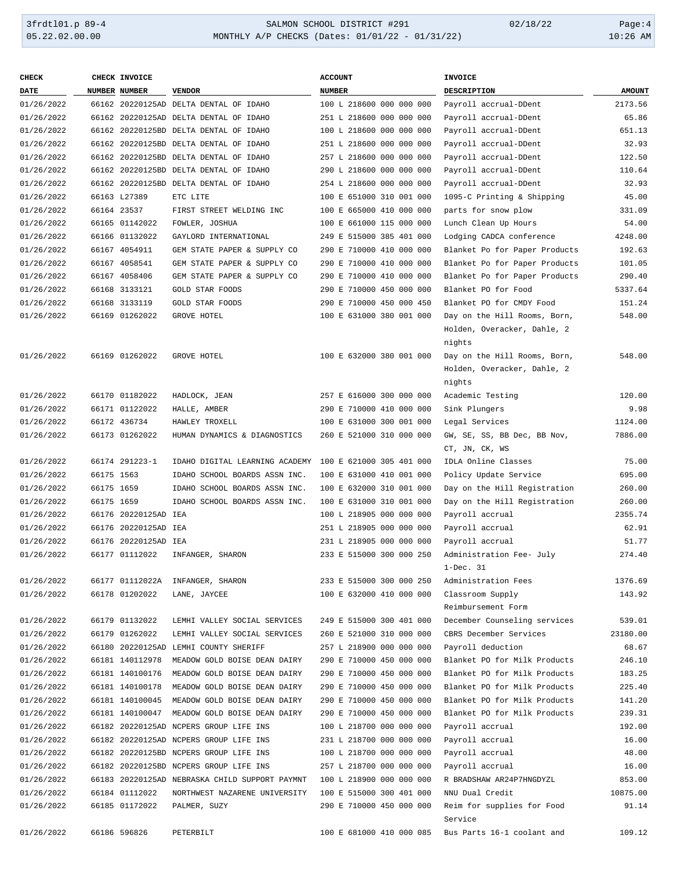### 3frdtl01.p 89-4 SALMON SCHOOL DISTRICT #291 02/18/22 Page:4 05.22.02.00.00 MONTHLY A/P CHECKS (Dates: 01/01/22 - 01/31/22) 10:26 AM

| <b>CHECK</b> |            | CHECK INVOICE        |                                                | <b>ACCOUNT</b>           | <b>INVOICE</b>                  |               |
|--------------|------------|----------------------|------------------------------------------------|--------------------------|---------------------------------|---------------|
| <b>DATE</b>  |            | <b>NUMBER NUMBER</b> | <b>VENDOR</b>                                  | <b>NUMBER</b>            | <b>DESCRIPTION</b>              | <b>AMOUNT</b> |
| 01/26/2022   |            |                      | 66162 20220125AD DELTA DENTAL OF IDAHO         | 100 L 218600 000 000 000 | Payroll accrual-DDent           | 2173.56       |
| 01/26/2022   |            |                      | 66162 20220125AD DELTA DENTAL OF IDAHO         | 251 L 218600 000 000 000 | Payroll accrual-DDent           | 65.86         |
| 01/26/2022   |            |                      | 66162 20220125BD DELTA DENTAL OF IDAHO         | 100 L 218600 000 000 000 | Payroll accrual-DDent           | 651.13        |
| 01/26/2022   |            |                      | 66162 20220125BD DELTA DENTAL OF IDAHO         | 251 L 218600 000 000 000 | Payroll accrual-DDent           | 32.93         |
| 01/26/2022   |            |                      | 66162 20220125BD DELTA DENTAL OF IDAHO         | 257 L 218600 000 000 000 | Payroll accrual-DDent           | 122.50        |
| 01/26/2022   |            |                      | 66162 20220125BD DELTA DENTAL OF IDAHO         | 290 L 218600 000 000 000 | Payroll accrual-DDent           | 110.64        |
| 01/26/2022   |            |                      | 66162 20220125BD DELTA DENTAL OF IDAHO         | 254 L 218600 000 000 000 | Payroll accrual-DDent           | 32.93         |
| 01/26/2022   |            | 66163 L27389         | ETC LITE                                       | 100 E 651000 310 001 000 | 1095-C Printing & Shipping      | 45.00         |
| 01/26/2022   |            | 66164 23537          | FIRST STREET WELDING INC                       | 100 E 665000 410 000 000 | parts for snow plow             | 331.09        |
| 01/26/2022   |            | 66165 01142022       | FOWLER, JOSHUA                                 | 100 E 661000 115 000 000 | Lunch Clean Up Hours            | 54.00         |
| 01/26/2022   |            | 66166 01132022       | GAYLORD INTERNATIONAL                          | 249 E 515000 385 401 000 | Lodging CADCA conference        | 4248.00       |
| 01/26/2022   |            | 66167 4054911        | GEM STATE PAPER & SUPPLY CO                    | 290 E 710000 410 000 000 | Blanket Po for Paper Products   | 192.63        |
| 01/26/2022   |            | 66167 4058541        | GEM STATE PAPER & SUPPLY CO                    | 290 E 710000 410 000 000 | Blanket Po for Paper Products   | 101.05        |
| 01/26/2022   |            | 66167 4058406        | GEM STATE PAPER & SUPPLY CO                    | 290 E 710000 410 000 000 | Blanket Po for Paper Products   | 290.40        |
| 01/26/2022   |            | 66168 3133121        | <b>GOLD STAR FOODS</b>                         | 290 E 710000 450 000 000 | Blanket PO for Food             | 5337.64       |
| 01/26/2022   |            | 66168 3133119        | <b>GOLD STAR FOODS</b>                         | 290 E 710000 450 000 450 | Blanket PO for CMDY Food        | 151.24        |
| 01/26/2022   |            | 66169 01262022       | <b>GROVE HOTEL</b>                             | 100 E 631000 380 001 000 | Day on the Hill Rooms, Born,    | 548.00        |
|              |            |                      |                                                |                          | Holden, Overacker, Dahle, 2     |               |
|              |            |                      |                                                |                          | nights                          |               |
| 01/26/2022   |            | 66169 01262022       | GROVE HOTEL                                    | 100 E 632000 380 001 000 | Day on the Hill Rooms, Born,    | 548.00        |
|              |            |                      |                                                |                          | Holden, Overacker, Dahle, 2     |               |
| 01/26/2022   |            | 66170 01182022       |                                                | 257 E 616000 300 000 000 | nights                          | 120.00        |
| 01/26/2022   |            | 66171 01122022       | HADLOCK, JEAN                                  | 290 E 710000 410 000 000 | Academic Testing                | 9.98          |
| 01/26/2022   |            | 66172 436734         | HALLE, AMBER<br>HAWLEY TROXELL                 | 100 E 631000 300 001 000 | Sink Plungers<br>Legal Services | 1124.00       |
| 01/26/2022   |            | 66173 01262022       | HUMAN DYNAMICS & DIAGNOSTICS                   | 260 E 521000 310 000 000 | GW, SE, SS, BB Dec, BB Nov,     | 7886.00       |
|              |            |                      |                                                |                          | CT, JN, CK, WS                  |               |
| 01/26/2022   |            | 66174 291223-1       | IDAHO DIGITAL LEARNING ACADEMY                 | 100 E 621000 305 401 000 | IDLA Online Classes             | 75.00         |
| 01/26/2022   | 66175 1563 |                      | IDAHO SCHOOL BOARDS ASSN INC.                  | 100 E 631000 410 001 000 | Policy Update Service           | 695.00        |
| 01/26/2022   | 66175 1659 |                      | IDAHO SCHOOL BOARDS ASSN INC.                  | 100 E 632000 310 001 000 | Day on the Hill Registration    | 260.00        |
| 01/26/2022   | 66175 1659 |                      | IDAHO SCHOOL BOARDS ASSN INC.                  | 100 E 631000 310 001 000 | Day on the Hill Registration    | 260.00        |
| 01/26/2022   |            | 66176 20220125AD IEA |                                                | 100 L 218905 000 000 000 | Payroll accrual                 | 2355.74       |
| 01/26/2022   |            | 66176 20220125AD IEA |                                                | 251 L 218905 000 000 000 | Payroll accrual                 | 62.91         |
| 01/26/2022   |            | 66176 20220125AD IEA |                                                | 231 L 218905 000 000 000 | Payroll accrual                 | 51.77         |
| 01/26/2022   |            | 66177 01112022       | INFANGER, SHARON                               | 233 E 515000 300 000 250 | Administration Fee- July        | 274.40        |
|              |            |                      |                                                |                          | $1 - Dec. 31$                   |               |
| 01/26/2022   |            | 66177 01112022A      | INFANGER, SHARON                               | 233 E 515000 300 000 250 | Administration Fees             | 1376.69       |
| 01/26/2022   |            | 66178 01202022       | LANE, JAYCEE                                   | 100 E 632000 410 000 000 | Classroom Supply                | 143.92        |
|              |            |                      |                                                |                          | Reimbursement Form              |               |
| 01/26/2022   |            | 66179 01132022       | LEMHI VALLEY SOCIAL SERVICES                   | 249 E 515000 300 401 000 | December Counseling services    | 539.01        |
| 01/26/2022   |            | 66179 01262022       | LEMHI VALLEY SOCIAL SERVICES                   | 260 E 521000 310 000 000 | CBRS December Services          | 23180.00      |
| 01/26/2022   |            |                      | 66180 20220125AD LEMHI COUNTY SHERIFF          | 257 L 218900 000 000 000 | Payroll deduction               | 68.67         |
| 01/26/2022   |            | 66181 140112978      | MEADOW GOLD BOISE DEAN DAIRY                   | 290 E 710000 450 000 000 | Blanket PO for Milk Products    | 246.10        |
| 01/26/2022   |            | 66181 140100176      | MEADOW GOLD BOISE DEAN DAIRY                   | 290 E 710000 450 000 000 | Blanket PO for Milk Products    | 183.25        |
| 01/26/2022   |            | 66181 140100178      | MEADOW GOLD BOISE DEAN DAIRY                   | 290 E 710000 450 000 000 | Blanket PO for Milk Products    | 225.40        |
| 01/26/2022   |            | 66181 140100045      | MEADOW GOLD BOISE DEAN DAIRY                   | 290 E 710000 450 000 000 | Blanket PO for Milk Products    | 141.20        |
| 01/26/2022   |            | 66181 140100047      | MEADOW GOLD BOISE DEAN DAIRY                   | 290 E 710000 450 000 000 | Blanket PO for Milk Products    | 239.31        |
| 01/26/2022   |            |                      | 66182 20220125AD NCPERS GROUP LIFE INS         | 100 L 218700 000 000 000 | Payroll accrual                 | 192.00        |
| 01/26/2022   |            |                      | 66182 20220125AD NCPERS GROUP LIFE INS         | 231 L 218700 000 000 000 | Payroll accrual                 | 16.00         |
| 01/26/2022   |            |                      | 66182 20220125BD NCPERS GROUP LIFE INS         | 100 L 218700 000 000 000 | Payroll accrual                 | 48.00         |
| 01/26/2022   |            |                      | 66182 20220125BD NCPERS GROUP LIFE INS         | 257 L 218700 000 000 000 | Payroll accrual                 | 16.00         |
| 01/26/2022   |            |                      | 66183 20220125AD NEBRASKA CHILD SUPPORT PAYMNT | 100 L 218900 000 000 000 | R BRADSHAW AR24P7HNGDYZL        | 853.00        |
| 01/26/2022   |            | 66184 01112022       | NORTHWEST NAZARENE UNIVERSITY                  | 100 E 515000 300 401 000 | NNU Dual Credit                 | 10875.00      |
| 01/26/2022   |            | 66185 01172022       | PALMER, SUZY                                   | 290 E 710000 450 000 000 | Reim for supplies for Food      | 91.14         |
|              |            |                      |                                                |                          | Service                         |               |
| 01/26/2022   |            | 66186 596826         | PETERBILT                                      | 100 E 681000 410 000 085 | Bus Parts 16-1 coolant and      | 109.12        |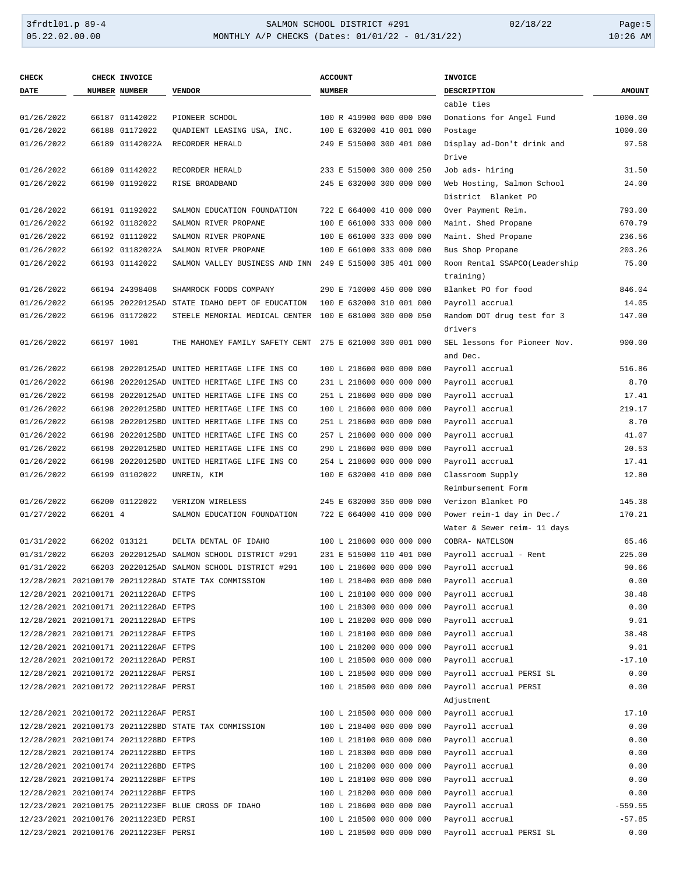## 3frdtl01.p 89-4 SALMON SCHOOL DISTRICT #291 02/18/22 Page:5 05.22.02.00.00 MONTHLY A/P CHECKS (Dates: 01/01/22 - 01/31/22) 10:26 AM

| <b>CHECK</b> |            | CHECK INVOICE                         |                                                         | <b>ACCOUNT</b>           | <b>INVOICE</b>                                    |               |
|--------------|------------|---------------------------------------|---------------------------------------------------------|--------------------------|---------------------------------------------------|---------------|
| <b>DATE</b>  |            | NUMBER NUMBER                         | <b>VENDOR</b>                                           | <b>NUMBER</b>            | <b>DESCRIPTION</b>                                | <b>AMOUNT</b> |
|              |            |                                       |                                                         |                          | cable ties                                        |               |
| 01/26/2022   |            | 66187 01142022                        | PIONEER SCHOOL                                          | 100 R 419900 000 000 000 | Donations for Angel Fund                          | 1000.00       |
| 01/26/2022   |            | 66188 01172022                        | OUADIENT LEASING USA, INC.                              | 100 E 632000 410 001 000 | Postage                                           | 1000.00       |
| 01/26/2022   |            | 66189 01142022A                       | RECORDER HERALD                                         | 249 E 515000 300 401 000 | Display ad-Don't drink and                        | 97.58         |
|              |            |                                       |                                                         |                          | Drive                                             |               |
| 01/26/2022   |            | 66189 01142022                        | RECORDER HERALD                                         | 233 E 515000 300 000 250 | Job ads- hiring                                   | 31.50         |
| 01/26/2022   |            | 66190 01192022                        | RISE BROADBAND                                          | 245 E 632000 300 000 000 | Web Hosting, Salmon School                        | 24.00         |
|              |            |                                       |                                                         |                          | District Blanket PO                               |               |
| 01/26/2022   |            | 66191 01192022                        | SALMON EDUCATION FOUNDATION                             | 722 E 664000 410 000 000 | Over Payment Reim.                                | 793.00        |
| 01/26/2022   |            | 66192 01182022                        | SALMON RIVER PROPANE                                    | 100 E 661000 333 000 000 | Maint. Shed Propane                               | 670.79        |
| 01/26/2022   |            | 66192 01112022                        | SALMON RIVER PROPANE                                    | 100 E 661000 333 000 000 | Maint. Shed Propane                               | 236.56        |
| 01/26/2022   |            | 66192 01182022A                       | SALMON RIVER PROPANE                                    | 100 E 661000 333 000 000 | Bus Shop Propane                                  | 203.26        |
| 01/26/2022   |            | 66193 01142022                        | SALMON VALLEY BUSINESS AND INN                          | 249 E 515000 385 401 000 | Room Rental SSAPCO(Leadership                     | 75.00         |
|              |            |                                       |                                                         |                          | training)                                         |               |
| 01/26/2022   |            | 66194 24398408                        | SHAMROCK FOODS COMPANY                                  | 290 E 710000 450 000 000 | Blanket PO for food                               | 846.04        |
| 01/26/2022   |            |                                       | 66195 20220125AD STATE IDAHO DEPT OF EDUCATION          | 100 E 632000 310 001 000 | Payroll accrual                                   | 14.05         |
| 01/26/2022   |            | 66196 01172022                        | STEELE MEMORIAL MEDICAL CENTER                          | 100 E 681000 300 000 050 | Random DOT drug test for 3                        | 147.00        |
|              |            |                                       |                                                         |                          | drivers                                           |               |
| 01/26/2022   | 66197 1001 |                                       | THE MAHONEY FAMILY SAFETY CENT 275 E 621000 300 001 000 |                          | SEL lessons for Pioneer Nov.                      | 900.00        |
|              |            |                                       |                                                         |                          | and Dec.                                          |               |
| 01/26/2022   |            |                                       | 66198 20220125AD UNITED HERITAGE LIFE INS CO            | 100 L 218600 000 000 000 | Payroll accrual                                   | 516.86        |
| 01/26/2022   |            |                                       | 66198 20220125AD UNITED HERITAGE LIFE INS CO            | 231 L 218600 000 000 000 | Payroll accrual                                   | 8.70          |
| 01/26/2022   |            |                                       | 66198 20220125AD UNITED HERITAGE LIFE INS CO            | 251 L 218600 000 000 000 | Payroll accrual                                   | 17.41         |
| 01/26/2022   |            |                                       | 66198 20220125BD UNITED HERITAGE LIFE INS CO            | 100 L 218600 000 000 000 | Payroll accrual                                   | 219.17        |
| 01/26/2022   |            |                                       | 66198 20220125BD UNITED HERITAGE LIFE INS CO            | 251 L 218600 000 000 000 | Payroll accrual                                   | 8.70          |
| 01/26/2022   |            |                                       | 66198 20220125BD UNITED HERITAGE LIFE INS CO            | 257 L 218600 000 000 000 | Payroll accrual                                   | 41.07         |
| 01/26/2022   |            |                                       | 66198 20220125BD UNITED HERITAGE LIFE INS CO            | 290 L 218600 000 000 000 | Payroll accrual                                   | 20.53         |
| 01/26/2022   |            |                                       | 66198 20220125BD UNITED HERITAGE LIFE INS CO            | 254 L 218600 000 000 000 | Payroll accrual                                   | 17.41         |
| 01/26/2022   |            | 66199 01102022                        | UNREIN, KIM                                             | 100 E 632000 410 000 000 | Classroom Supply                                  | 12.80         |
|              |            |                                       |                                                         |                          | Reimbursement Form                                |               |
| 01/26/2022   |            | 66200 01122022                        | VERIZON WIRELESS                                        | 245 E 632000 350 000 000 | Verizon Blanket PO                                | 145.38        |
| 01/27/2022   | 66201 4    |                                       | SALMON EDUCATION FOUNDATION                             | 722 E 664000 410 000 000 | Power reim-1 day in Dec./                         | 170.21        |
|              |            |                                       |                                                         |                          | Water & Sewer reim- 11 days                       |               |
| 01/31/2022   |            | 66202 013121                          | DELTA DENTAL OF IDAHO                                   | 100 L 218600 000 000 000 | COBRA- NATELSON                                   | 65.46         |
| 01/31/2022   |            |                                       | 66203 20220125AD SALMON SCHOOL DISTRICT #291            | 231 E 515000 110 401 000 | Payroll accrual - Rent                            | 225.00        |
| 01/31/2022   |            |                                       | 66203 20220125AD SALMON SCHOOL DISTRICT #291            | 100 L 218600 000 000 000 | Payroll accrual                                   | 90.66         |
|              |            |                                       | 12/28/2021 202100170 20211228AD STATE TAX COMMISSION    | 100 L 218400 000 000 000 | Payroll accrual                                   | 0.00          |
|              |            | 12/28/2021 202100171 20211228AD EFTPS |                                                         | 100 L 218100 000 000 000 | Payroll accrual                                   | 38.48         |
|              |            | 12/28/2021 202100171 20211228AD EFTPS |                                                         | 100 L 218300 000 000 000 | Payroll accrual                                   | 0.00          |
|              |            | 12/28/2021 202100171 20211228AD EFTPS |                                                         | 100 L 218200 000 000 000 | Payroll accrual                                   | 9.01          |
|              |            | 12/28/2021 202100171 20211228AF EFTPS |                                                         | 100 L 218100 000 000 000 | Payroll accrual                                   | 38.48         |
|              |            | 12/28/2021 202100171 20211228AF EFTPS |                                                         | 100 L 218200 000 000 000 | Payroll accrual                                   | 9.01          |
|              |            | 12/28/2021 202100172 20211228AD PERSI |                                                         | 100 L 218500 000 000 000 | Payroll accrual                                   | $-17.10$      |
|              |            | 12/28/2021 202100172 20211228AF PERSI |                                                         | 100 L 218500 000 000 000 |                                                   | 0.00          |
|              |            | 12/28/2021 202100172 20211228AF PERSI |                                                         | 100 L 218500 000 000 000 | Payroll accrual PERSI SL<br>Payroll accrual PERSI | 0.00          |
|              |            |                                       |                                                         |                          |                                                   |               |
|              |            |                                       |                                                         |                          | Adjustment                                        |               |
|              |            | 12/28/2021 202100172 20211228AF PERSI |                                                         | 100 L 218500 000 000 000 | Payroll accrual                                   | 17.10         |
|              |            |                                       | 12/28/2021 202100173 20211228BD STATE TAX COMMISSION    | 100 L 218400 000 000 000 | Payroll accrual                                   | 0.00          |
|              |            | 12/28/2021 202100174 20211228BD EFTPS |                                                         | 100 L 218100 000 000 000 | Payroll accrual                                   | 0.00          |
|              |            | 12/28/2021 202100174 20211228BD EFTPS |                                                         | 100 L 218300 000 000 000 | Payroll accrual                                   | 0.00          |
|              |            | 12/28/2021 202100174 20211228BD EFTPS |                                                         | 100 L 218200 000 000 000 | Payroll accrual                                   | 0.00          |
|              |            | 12/28/2021 202100174 20211228BF EFTPS |                                                         | 100 L 218100 000 000 000 | Payroll accrual                                   | 0.00          |
|              |            | 12/28/2021 202100174 20211228BF EFTPS |                                                         | 100 L 218200 000 000 000 | Payroll accrual                                   | 0.00          |
|              |            |                                       | 12/23/2021 202100175 20211223EF BLUE CROSS OF IDAHO     | 100 L 218600 000 000 000 | Payroll accrual                                   | $-559.55$     |
|              |            | 12/23/2021 202100176 20211223ED PERSI |                                                         | 100 L 218500 000 000 000 | Payroll accrual                                   | $-57.85$      |
|              |            | 12/23/2021 202100176 20211223EF PERSI |                                                         | 100 L 218500 000 000 000 | Payroll accrual PERSI SL                          | 0.00          |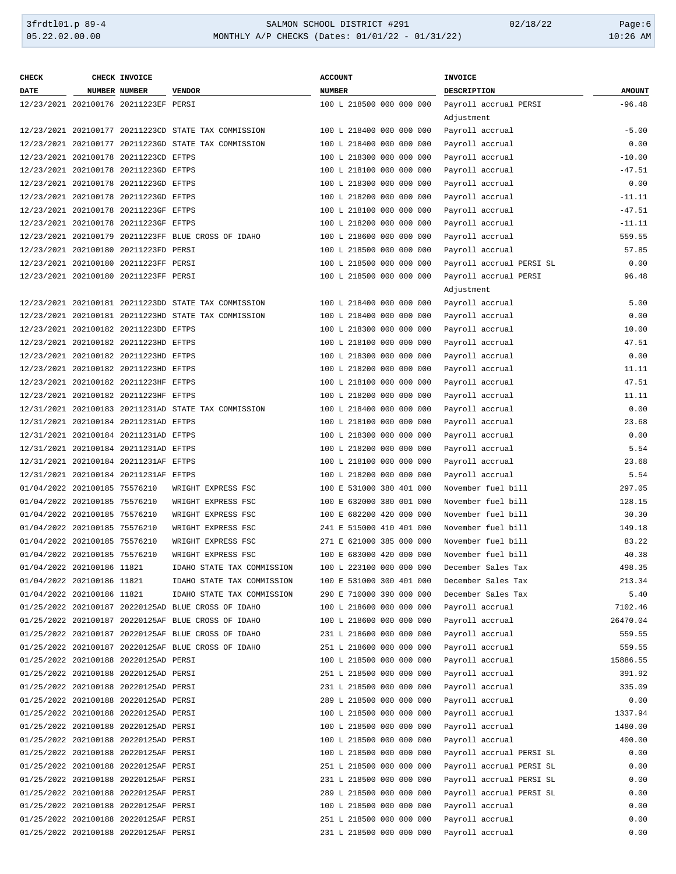| <b>CHECK</b>                  | CHECK INVOICE                         |                                                      | <b>ACCOUNT</b>           | <b>INVOICE</b>           |               |
|-------------------------------|---------------------------------------|------------------------------------------------------|--------------------------|--------------------------|---------------|
| DATE                          | NUMBER NUMBER                         | <b>VENDOR</b>                                        | <b>NUMBER</b>            | DESCRIPTION              | <b>AMOUNT</b> |
|                               | 12/23/2021 202100176 20211223EF PERSI |                                                      | 100 L 218500 000 000 000 | Payroll accrual PERSI    | $-96.48$      |
|                               |                                       |                                                      |                          | Adjustment               |               |
|                               |                                       | 12/23/2021 202100177 20211223CD STATE TAX COMMISSION | 100 L 218400 000 000 000 | Payroll accrual          | $-5.00$       |
|                               |                                       | 12/23/2021 202100177 20211223GD STATE TAX COMMISSION | 100 L 218400 000 000 000 | Payroll accrual          | 0.00          |
|                               | 12/23/2021 202100178 20211223CD EFTPS |                                                      | 100 L 218300 000 000 000 | Payroll accrual          | $-10.00$      |
|                               | 12/23/2021 202100178 20211223GD EFTPS |                                                      | 100 L 218100 000 000 000 | Payroll accrual          | $-47.51$      |
|                               | 12/23/2021 202100178 20211223GD EFTPS |                                                      | 100 L 218300 000 000 000 | Payroll accrual          | 0.00          |
|                               | 12/23/2021 202100178 20211223GD EFTPS |                                                      | 100 L 218200 000 000 000 | Payroll accrual          | $-11.11$      |
|                               | 12/23/2021 202100178 20211223GF EFTPS |                                                      | 100 L 218100 000 000 000 | Payroll accrual          | $-47.51$      |
|                               | 12/23/2021 202100178 20211223GF EFTPS |                                                      | 100 L 218200 000 000 000 | Payroll accrual          | $-11.11$      |
|                               |                                       | 12/23/2021 202100179 20211223FF BLUE CROSS OF IDAHO  | 100 L 218600 000 000 000 | Payroll accrual          | 559.55        |
|                               | 12/23/2021 202100180 20211223FD PERSI |                                                      | 100 L 218500 000 000 000 | Payroll accrual          | 57.85         |
|                               | 12/23/2021 202100180 20211223FF PERSI |                                                      | 100 L 218500 000 000 000 | Payroll accrual PERSI SL | 0.00          |
|                               | 12/23/2021 202100180 20211223FF PERSI |                                                      | 100 L 218500 000 000 000 | Payroll accrual PERSI    | 96.48         |
|                               |                                       |                                                      |                          | Adjustment               |               |
|                               |                                       | 12/23/2021 202100181 20211223DD STATE TAX COMMISSION | 100 L 218400 000 000 000 | Payroll accrual          | 5.00          |
|                               |                                       | 12/23/2021 202100181 20211223HD STATE TAX COMMISSION | 100 L 218400 000 000 000 | Payroll accrual          | 0.00          |
|                               | 12/23/2021 202100182 20211223DD EFTPS |                                                      | 100 L 218300 000 000 000 | Payroll accrual          | 10.00         |
|                               | 12/23/2021 202100182 20211223HD EFTPS |                                                      | 100 L 218100 000 000 000 | Payroll accrual          | 47.51         |
|                               | 12/23/2021 202100182 20211223HD EFTPS |                                                      | 100 L 218300 000 000 000 | Payroll accrual          | 0.00          |
|                               | 12/23/2021 202100182 20211223HD EFTPS |                                                      | 100 L 218200 000 000 000 | Payroll accrual          | 11.11         |
|                               | 12/23/2021 202100182 20211223HF EFTPS |                                                      | 100 L 218100 000 000 000 | Payroll accrual          | 47.51         |
|                               | 12/23/2021 202100182 20211223HF EFTPS |                                                      | 100 L 218200 000 000 000 | Payroll accrual          | 11.11         |
|                               |                                       | 12/31/2021 202100183 20211231AD STATE TAX COMMISSION | 100 L 218400 000 000 000 | Payroll accrual          | 0.00          |
|                               | 12/31/2021 202100184 20211231AD EFTPS |                                                      | 100 L 218100 000 000 000 | Payroll accrual          | 23.68         |
|                               | 12/31/2021 202100184 20211231AD EFTPS |                                                      | 100 L 218300 000 000 000 | Payroll accrual          | 0.00          |
|                               | 12/31/2021 202100184 20211231AD EFTPS |                                                      | 100 L 218200 000 000 000 | Payroll accrual          | 5.54          |
|                               | 12/31/2021 202100184 20211231AF EFTPS |                                                      | 100 L 218100 000 000 000 | Payroll accrual          | 23.68         |
|                               | 12/31/2021 202100184 20211231AF EFTPS |                                                      | 100 L 218200 000 000 000 | Payroll accrual          | 5.54          |
| 01/04/2022 202100185 75576210 |                                       | WRIGHT EXPRESS FSC                                   | 100 E 531000 380 401 000 | November fuel bill       | 297.05        |
| 01/04/2022 202100185 75576210 |                                       | WRIGHT EXPRESS FSC                                   | 100 E 632000 380 001 000 | November fuel bill       | 128.15        |
| 01/04/2022 202100185 75576210 |                                       | WRIGHT EXPRESS FSC                                   | 100 E 682200 420 000 000 | November fuel bill       | 30.30         |
| 01/04/2022 202100185 75576210 |                                       | WRIGHT EXPRESS FSC                                   | 241 E 515000 410 401 000 | November fuel bill       | 149.18        |
| 01/04/2022 202100185 75576210 |                                       | WRIGHT EXPRESS FSC                                   | 271 E 621000 385 000 000 | November fuel bill       | 83.22         |
| 01/04/2022 202100185 75576210 |                                       | WRIGHT EXPRESS FSC                                   | 100 E 683000 420 000 000 | November fuel bill       | 40.38         |
| 01/04/2022 202100186 11821    |                                       | IDAHO STATE TAX COMMISSION                           | 100 L 223100 000 000 000 | December Sales Tax       | 498.35        |
| 01/04/2022 202100186 11821    |                                       | IDAHO STATE TAX COMMISSION                           | 100 E 531000 300 401 000 | December Sales Tax       | 213.34        |
| 01/04/2022 202100186 11821    |                                       | IDAHO STATE TAX COMMISSION                           | 290 E 710000 390 000 000 | December Sales Tax       | 5.40          |
|                               |                                       | 01/25/2022 202100187 20220125AD BLUE CROSS OF IDAHO  | 100 L 218600 000 000 000 | Payroll accrual          | 7102.46       |
|                               |                                       | 01/25/2022 202100187 20220125AF BLUE CROSS OF IDAHO  | 100 L 218600 000 000 000 | Payroll accrual          | 26470.04      |
|                               |                                       | 01/25/2022 202100187 20220125AF BLUE CROSS OF IDAHO  | 231 L 218600 000 000 000 | Payroll accrual          | 559.55        |
|                               |                                       | 01/25/2022 202100187 20220125AF BLUE CROSS OF IDAHO  | 251 L 218600 000 000 000 | Payroll accrual          | 559.55        |
|                               | 01/25/2022 202100188 20220125AD PERSI |                                                      | 100 L 218500 000 000 000 | Payroll accrual          | 15886.55      |
|                               | 01/25/2022 202100188 20220125AD PERSI |                                                      | 251 L 218500 000 000 000 | Payroll accrual          | 391.92        |
|                               | 01/25/2022 202100188 20220125AD PERSI |                                                      | 231 L 218500 000 000 000 | Payroll accrual          | 335.09        |
|                               | 01/25/2022 202100188 20220125AD PERSI |                                                      | 289 L 218500 000 000 000 | Payroll accrual          | 0.00          |
|                               | 01/25/2022 202100188 20220125AD PERSI |                                                      | 100 L 218500 000 000 000 | Payroll accrual          | 1337.94       |
|                               | 01/25/2022 202100188 20220125AD PERSI |                                                      | 100 L 218500 000 000 000 | Payroll accrual          | 1480.00       |
|                               | 01/25/2022 202100188 20220125AD PERSI |                                                      | 100 L 218500 000 000 000 | Payroll accrual          | 400.00        |
|                               | 01/25/2022 202100188 20220125AF PERSI |                                                      | 100 L 218500 000 000 000 | Payroll accrual PERSI SL | 0.00          |
|                               | 01/25/2022 202100188 20220125AF PERSI |                                                      | 251 L 218500 000 000 000 | Payroll accrual PERSI SL | 0.00          |
|                               | 01/25/2022 202100188 20220125AF PERSI |                                                      | 231 L 218500 000 000 000 | Payroll accrual PERSI SL | 0.00          |
|                               | 01/25/2022 202100188 20220125AF PERSI |                                                      | 289 L 218500 000 000 000 | Payroll accrual PERSI SL | 0.00          |
|                               | 01/25/2022 202100188 20220125AF PERSI |                                                      | 100 L 218500 000 000 000 | Payroll accrual          | 0.00          |
|                               | 01/25/2022 202100188 20220125AF PERSI |                                                      | 251 L 218500 000 000 000 | Payroll accrual          | 0.00          |
|                               | 01/25/2022 202100188 20220125AF PERSI |                                                      | 231 L 218500 000 000 000 | Payroll accrual          | 0.00          |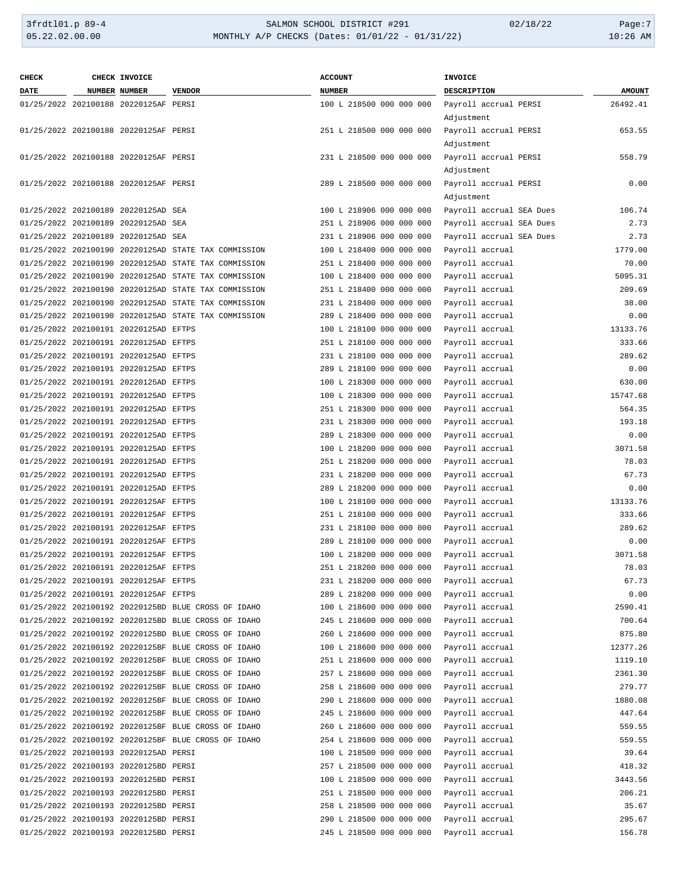# 3frdtl01.p 89-4 SALMON SCHOOL DISTRICT #291 02/18/22 Page:7 MONTHLY A/P CHECKS (Dates: 01/01/22 - 01/31/22)

| <b>DATE</b><br><b>NUMBER NUMBER</b><br><b>VENDOR</b><br><b>NUMBER</b><br>DESCRIPTION<br><b>AMOUNT</b><br>100 L 218500 000 000 000<br>Payroll accrual PERSI<br>26492.41<br>01/25/2022 202100188 20220125AF PERSI<br>Adjustment<br>Payroll accrual PERSI<br>653.55<br>01/25/2022 202100188 20220125AF PERSI<br>251 L 218500 000 000 000<br>Adjustment<br>231 L 218500 000 000 000<br>Payroll accrual PERSI<br>558.79<br>01/25/2022 202100188 20220125AF PERSI<br>Adjustment<br>289 L 218500 000 000 000<br>Payroll accrual PERSI<br>0.00<br>01/25/2022 202100188 20220125AF PERSI<br>Adjustment<br>100 L 218906 000 000 000<br>Payroll accrual SEA Dues<br>106.74<br>01/25/2022 202100189 20220125AD SEA<br>2.73<br>01/25/2022 202100189 20220125AD SEA<br>251 L 218906 000 000 000<br>Payroll accrual SEA Dues<br>2.73<br>01/25/2022 202100189 20220125AD SEA<br>231 L 218906 000 000 000<br>Payroll accrual SEA Dues<br>1779.00<br>01/25/2022 202100190 20220125AD STATE TAX COMMISSION<br>100 L 218400 000 000 000<br>Payroll accrual<br>01/25/2022 202100190 20220125AD STATE TAX COMMISSION<br>251 L 218400 000 000 000<br>Payroll accrual<br>70.00<br>5095.31<br>01/25/2022 202100190 20220125AD STATE TAX COMMISSION<br>100 L 218400 000 000 000<br>Payroll accrual<br>209.69<br>01/25/2022 202100190 20220125AD STATE TAX COMMISSION<br>251 L 218400 000 000 000<br>Payroll accrual<br>01/25/2022 202100190 20220125AD STATE TAX COMMISSION<br>231 L 218400 000 000 000<br>Payroll accrual<br>38.00<br>01/25/2022 202100190 20220125AD STATE TAX COMMISSION<br>289 L 218400 000 000 000<br>Payroll accrual<br>0.00<br>13133.76<br>01/25/2022 202100191 20220125AD EFTPS<br>100 L 218100 000 000 000<br>Payroll accrual<br>333.66<br>01/25/2022 202100191 20220125AD EFTPS<br>251 L 218100 000 000 000<br>Payroll accrual<br>289.62<br>01/25/2022 202100191 20220125AD EFTPS<br>231 L 218100 000 000 000<br>Payroll accrual<br>0.00<br>01/25/2022 202100191 20220125AD EFTPS<br>289 L 218100 000 000 000<br>Payroll accrual<br>630.00<br>01/25/2022 202100191 20220125AD EFTPS<br>100 L 218300 000 000 000<br>Payroll accrual<br>15747.68<br>01/25/2022 202100191 20220125AD EFTPS<br>100 L 218300 000 000 000<br>Payroll accrual<br>564.35<br>01/25/2022 202100191 20220125AD EFTPS<br>251 L 218300 000 000 000<br>Payroll accrual<br>193.18<br>01/25/2022 202100191 20220125AD EFTPS<br>231 L 218300 000 000 000<br>Payroll accrual<br>01/25/2022 202100191 20220125AD EFTPS<br>289 L 218300 000 000 000<br>0.00<br>Payroll accrual<br>01/25/2022 202100191 20220125AD EFTPS<br>100 L 218200 000 000 000<br>3071.58<br>Payroll accrual<br>01/25/2022 202100191 20220125AD EFTPS<br>251 L 218200 000 000 000<br>78.03<br>Payroll accrual<br>67.73<br>01/25/2022 202100191 20220125AD EFTPS<br>231 L 218200 000 000 000<br>Payroll accrual<br>01/25/2022 202100191 20220125AD EFTPS<br>289 L 218200 000 000 000<br>Payroll accrual<br>0.00<br>13133.76<br>01/25/2022 202100191 20220125AF EFTPS<br>100 L 218100 000 000 000<br>Payroll accrual<br>333.66<br>01/25/2022 202100191 20220125AF EFTPS<br>251 L 218100 000 000 000<br>Payroll accrual<br>289.62<br>01/25/2022 202100191 20220125AF EFTPS<br>231 L 218100 000 000 000<br>Payroll accrual<br>01/25/2022 202100191 20220125AF EFTPS<br>289 L 218100 000 000 000<br>Payroll accrual<br>0.00<br>01/25/2022 202100191 20220125AF EFTPS<br>100 L 218200 000 000 000<br>3071.58<br>Payroll accrual<br>78.03<br>01/25/2022 202100191 20220125AF EFTPS<br>251 L 218200 000 000 000<br>Payroll accrual<br>67.73<br>01/25/2022 202100191 20220125AF EFTPS<br>231 L 218200 000 000 000<br>Payroll accrual<br>01/25/2022 202100191 20220125AF EFTPS<br>289 L 218200 000 000 000<br>Payroll accrual<br>0.00<br>2590.41<br>01/25/2022 202100192 20220125BD BLUE CROSS OF IDAHO<br>100 L 218600 000 000 000<br>Payroll accrual<br>700.64<br>01/25/2022 202100192 20220125BD BLUE CROSS OF IDAHO<br>245 L 218600 000 000 000<br>Payroll accrual<br>875.80<br>01/25/2022 202100192 20220125BD BLUE CROSS OF IDAHO<br>260 L 218600 000 000 000<br>Payroll accrual<br>12377.26<br>01/25/2022 202100192 20220125BF BLUE CROSS OF IDAHO<br>100 L 218600 000 000 000<br>Payroll accrual<br>1119.10<br>01/25/2022 202100192 20220125BF BLUE CROSS OF IDAHO<br>251 L 218600 000 000 000<br>Payroll accrual<br>01/25/2022 202100192 20220125BF BLUE CROSS OF IDAHO<br>257 L 218600 000 000 000<br>2361.30<br>Payroll accrual<br>279.77<br>01/25/2022 202100192 20220125BF BLUE CROSS OF IDAHO<br>258 L 218600 000 000 000<br>Payroll accrual<br>1880.08<br>01/25/2022 202100192 20220125BF BLUE CROSS OF IDAHO<br>290 L 218600 000 000 000<br>Payroll accrual<br>447.64<br>01/25/2022 202100192 20220125BF BLUE CROSS OF IDAHO<br>245 L 218600 000 000 000<br>Payroll accrual<br>559.55<br>01/25/2022 202100192 20220125BF BLUE CROSS OF IDAHO<br>260 L 218600 000 000 000<br>Payroll accrual<br>559.55<br>01/25/2022 202100192 20220125BF BLUE CROSS OF IDAHO<br>254 L 218600 000 000 000<br>Payroll accrual<br>39.64<br>01/25/2022 202100193 20220125AD PERSI<br>100 L 218500 000 000 000<br>Payroll accrual<br>418.32<br>01/25/2022 202100193 20220125BD PERSI<br>257 L 218500 000 000 000<br>Payroll accrual<br>3443.56<br>01/25/2022 202100193 20220125BD PERSI<br>100 L 218500 000 000 000<br>Payroll accrual<br>206.21<br>01/25/2022 202100193 20220125BD PERSI<br>251 L 218500 000 000 000<br>Payroll accrual<br>35.67<br>01/25/2022 202100193 20220125BD PERSI<br>258 L 218500 000 000 000<br>Payroll accrual<br>295.67<br>01/25/2022 202100193 20220125BD PERSI<br>290 L 218500 000 000 000<br>Payroll accrual<br>01/25/2022 202100193 20220125BD PERSI<br>245 L 218500 000 000 000<br>Payroll accrual<br>156.78 | <b>CHECK</b> | CHECK INVOICE | <b>ACCOUNT</b> | <b>INVOICE</b> |  |
|-----------------------------------------------------------------------------------------------------------------------------------------------------------------------------------------------------------------------------------------------------------------------------------------------------------------------------------------------------------------------------------------------------------------------------------------------------------------------------------------------------------------------------------------------------------------------------------------------------------------------------------------------------------------------------------------------------------------------------------------------------------------------------------------------------------------------------------------------------------------------------------------------------------------------------------------------------------------------------------------------------------------------------------------------------------------------------------------------------------------------------------------------------------------------------------------------------------------------------------------------------------------------------------------------------------------------------------------------------------------------------------------------------------------------------------------------------------------------------------------------------------------------------------------------------------------------------------------------------------------------------------------------------------------------------------------------------------------------------------------------------------------------------------------------------------------------------------------------------------------------------------------------------------------------------------------------------------------------------------------------------------------------------------------------------------------------------------------------------------------------------------------------------------------------------------------------------------------------------------------------------------------------------------------------------------------------------------------------------------------------------------------------------------------------------------------------------------------------------------------------------------------------------------------------------------------------------------------------------------------------------------------------------------------------------------------------------------------------------------------------------------------------------------------------------------------------------------------------------------------------------------------------------------------------------------------------------------------------------------------------------------------------------------------------------------------------------------------------------------------------------------------------------------------------------------------------------------------------------------------------------------------------------------------------------------------------------------------------------------------------------------------------------------------------------------------------------------------------------------------------------------------------------------------------------------------------------------------------------------------------------------------------------------------------------------------------------------------------------------------------------------------------------------------------------------------------------------------------------------------------------------------------------------------------------------------------------------------------------------------------------------------------------------------------------------------------------------------------------------------------------------------------------------------------------------------------------------------------------------------------------------------------------------------------------------------------------------------------------------------------------------------------------------------------------------------------------------------------------------------------------------------------------------------------------------------------------------------------------------------------------------------------------------------------------------------------------------------------------------------------------------------------------------------------------------------------------------------------------------------------------------------------------------------------------------------------------------------------------------------------------------------------------------------------------------------------------------------------------------------------------------------------------------------------------------------------------------------------------------------------------------------------------------------------------------------------------------------------------------------------------------------------------------------------------------------------------------------------------------------------------------------------------------------------------------------------------------------------------------------------------------------------------------------------------------------------------------------------------------------------------------------|--------------|---------------|----------------|----------------|--|
|                                                                                                                                                                                                                                                                                                                                                                                                                                                                                                                                                                                                                                                                                                                                                                                                                                                                                                                                                                                                                                                                                                                                                                                                                                                                                                                                                                                                                                                                                                                                                                                                                                                                                                                                                                                                                                                                                                                                                                                                                                                                                                                                                                                                                                                                                                                                                                                                                                                                                                                                                                                                                                                                                                                                                                                                                                                                                                                                                                                                                                                                                                                                                                                                                                                                                                                                                                                                                                                                                                                                                                                                                                                                                                                                                                                                                                                                                                                                                                                                                                                                                                                                                                                                                                                                                                                                                                                                                                                                                                                                                                                                                                                                                                                                                                                                                                                                                                                                                                                                                                                                                                                                                                                                                                                                                                                                                                                                                                                                                                                                                                                                                                                                                                                                                                 |              |               |                |                |  |
|                                                                                                                                                                                                                                                                                                                                                                                                                                                                                                                                                                                                                                                                                                                                                                                                                                                                                                                                                                                                                                                                                                                                                                                                                                                                                                                                                                                                                                                                                                                                                                                                                                                                                                                                                                                                                                                                                                                                                                                                                                                                                                                                                                                                                                                                                                                                                                                                                                                                                                                                                                                                                                                                                                                                                                                                                                                                                                                                                                                                                                                                                                                                                                                                                                                                                                                                                                                                                                                                                                                                                                                                                                                                                                                                                                                                                                                                                                                                                                                                                                                                                                                                                                                                                                                                                                                                                                                                                                                                                                                                                                                                                                                                                                                                                                                                                                                                                                                                                                                                                                                                                                                                                                                                                                                                                                                                                                                                                                                                                                                                                                                                                                                                                                                                                                 |              |               |                |                |  |
|                                                                                                                                                                                                                                                                                                                                                                                                                                                                                                                                                                                                                                                                                                                                                                                                                                                                                                                                                                                                                                                                                                                                                                                                                                                                                                                                                                                                                                                                                                                                                                                                                                                                                                                                                                                                                                                                                                                                                                                                                                                                                                                                                                                                                                                                                                                                                                                                                                                                                                                                                                                                                                                                                                                                                                                                                                                                                                                                                                                                                                                                                                                                                                                                                                                                                                                                                                                                                                                                                                                                                                                                                                                                                                                                                                                                                                                                                                                                                                                                                                                                                                                                                                                                                                                                                                                                                                                                                                                                                                                                                                                                                                                                                                                                                                                                                                                                                                                                                                                                                                                                                                                                                                                                                                                                                                                                                                                                                                                                                                                                                                                                                                                                                                                                                                 |              |               |                |                |  |
|                                                                                                                                                                                                                                                                                                                                                                                                                                                                                                                                                                                                                                                                                                                                                                                                                                                                                                                                                                                                                                                                                                                                                                                                                                                                                                                                                                                                                                                                                                                                                                                                                                                                                                                                                                                                                                                                                                                                                                                                                                                                                                                                                                                                                                                                                                                                                                                                                                                                                                                                                                                                                                                                                                                                                                                                                                                                                                                                                                                                                                                                                                                                                                                                                                                                                                                                                                                                                                                                                                                                                                                                                                                                                                                                                                                                                                                                                                                                                                                                                                                                                                                                                                                                                                                                                                                                                                                                                                                                                                                                                                                                                                                                                                                                                                                                                                                                                                                                                                                                                                                                                                                                                                                                                                                                                                                                                                                                                                                                                                                                                                                                                                                                                                                                                                 |              |               |                |                |  |
|                                                                                                                                                                                                                                                                                                                                                                                                                                                                                                                                                                                                                                                                                                                                                                                                                                                                                                                                                                                                                                                                                                                                                                                                                                                                                                                                                                                                                                                                                                                                                                                                                                                                                                                                                                                                                                                                                                                                                                                                                                                                                                                                                                                                                                                                                                                                                                                                                                                                                                                                                                                                                                                                                                                                                                                                                                                                                                                                                                                                                                                                                                                                                                                                                                                                                                                                                                                                                                                                                                                                                                                                                                                                                                                                                                                                                                                                                                                                                                                                                                                                                                                                                                                                                                                                                                                                                                                                                                                                                                                                                                                                                                                                                                                                                                                                                                                                                                                                                                                                                                                                                                                                                                                                                                                                                                                                                                                                                                                                                                                                                                                                                                                                                                                                                                 |              |               |                |                |  |
|                                                                                                                                                                                                                                                                                                                                                                                                                                                                                                                                                                                                                                                                                                                                                                                                                                                                                                                                                                                                                                                                                                                                                                                                                                                                                                                                                                                                                                                                                                                                                                                                                                                                                                                                                                                                                                                                                                                                                                                                                                                                                                                                                                                                                                                                                                                                                                                                                                                                                                                                                                                                                                                                                                                                                                                                                                                                                                                                                                                                                                                                                                                                                                                                                                                                                                                                                                                                                                                                                                                                                                                                                                                                                                                                                                                                                                                                                                                                                                                                                                                                                                                                                                                                                                                                                                                                                                                                                                                                                                                                                                                                                                                                                                                                                                                                                                                                                                                                                                                                                                                                                                                                                                                                                                                                                                                                                                                                                                                                                                                                                                                                                                                                                                                                                                 |              |               |                |                |  |
|                                                                                                                                                                                                                                                                                                                                                                                                                                                                                                                                                                                                                                                                                                                                                                                                                                                                                                                                                                                                                                                                                                                                                                                                                                                                                                                                                                                                                                                                                                                                                                                                                                                                                                                                                                                                                                                                                                                                                                                                                                                                                                                                                                                                                                                                                                                                                                                                                                                                                                                                                                                                                                                                                                                                                                                                                                                                                                                                                                                                                                                                                                                                                                                                                                                                                                                                                                                                                                                                                                                                                                                                                                                                                                                                                                                                                                                                                                                                                                                                                                                                                                                                                                                                                                                                                                                                                                                                                                                                                                                                                                                                                                                                                                                                                                                                                                                                                                                                                                                                                                                                                                                                                                                                                                                                                                                                                                                                                                                                                                                                                                                                                                                                                                                                                                 |              |               |                |                |  |
|                                                                                                                                                                                                                                                                                                                                                                                                                                                                                                                                                                                                                                                                                                                                                                                                                                                                                                                                                                                                                                                                                                                                                                                                                                                                                                                                                                                                                                                                                                                                                                                                                                                                                                                                                                                                                                                                                                                                                                                                                                                                                                                                                                                                                                                                                                                                                                                                                                                                                                                                                                                                                                                                                                                                                                                                                                                                                                                                                                                                                                                                                                                                                                                                                                                                                                                                                                                                                                                                                                                                                                                                                                                                                                                                                                                                                                                                                                                                                                                                                                                                                                                                                                                                                                                                                                                                                                                                                                                                                                                                                                                                                                                                                                                                                                                                                                                                                                                                                                                                                                                                                                                                                                                                                                                                                                                                                                                                                                                                                                                                                                                                                                                                                                                                                                 |              |               |                |                |  |
|                                                                                                                                                                                                                                                                                                                                                                                                                                                                                                                                                                                                                                                                                                                                                                                                                                                                                                                                                                                                                                                                                                                                                                                                                                                                                                                                                                                                                                                                                                                                                                                                                                                                                                                                                                                                                                                                                                                                                                                                                                                                                                                                                                                                                                                                                                                                                                                                                                                                                                                                                                                                                                                                                                                                                                                                                                                                                                                                                                                                                                                                                                                                                                                                                                                                                                                                                                                                                                                                                                                                                                                                                                                                                                                                                                                                                                                                                                                                                                                                                                                                                                                                                                                                                                                                                                                                                                                                                                                                                                                                                                                                                                                                                                                                                                                                                                                                                                                                                                                                                                                                                                                                                                                                                                                                                                                                                                                                                                                                                                                                                                                                                                                                                                                                                                 |              |               |                |                |  |
|                                                                                                                                                                                                                                                                                                                                                                                                                                                                                                                                                                                                                                                                                                                                                                                                                                                                                                                                                                                                                                                                                                                                                                                                                                                                                                                                                                                                                                                                                                                                                                                                                                                                                                                                                                                                                                                                                                                                                                                                                                                                                                                                                                                                                                                                                                                                                                                                                                                                                                                                                                                                                                                                                                                                                                                                                                                                                                                                                                                                                                                                                                                                                                                                                                                                                                                                                                                                                                                                                                                                                                                                                                                                                                                                                                                                                                                                                                                                                                                                                                                                                                                                                                                                                                                                                                                                                                                                                                                                                                                                                                                                                                                                                                                                                                                                                                                                                                                                                                                                                                                                                                                                                                                                                                                                                                                                                                                                                                                                                                                                                                                                                                                                                                                                                                 |              |               |                |                |  |
|                                                                                                                                                                                                                                                                                                                                                                                                                                                                                                                                                                                                                                                                                                                                                                                                                                                                                                                                                                                                                                                                                                                                                                                                                                                                                                                                                                                                                                                                                                                                                                                                                                                                                                                                                                                                                                                                                                                                                                                                                                                                                                                                                                                                                                                                                                                                                                                                                                                                                                                                                                                                                                                                                                                                                                                                                                                                                                                                                                                                                                                                                                                                                                                                                                                                                                                                                                                                                                                                                                                                                                                                                                                                                                                                                                                                                                                                                                                                                                                                                                                                                                                                                                                                                                                                                                                                                                                                                                                                                                                                                                                                                                                                                                                                                                                                                                                                                                                                                                                                                                                                                                                                                                                                                                                                                                                                                                                                                                                                                                                                                                                                                                                                                                                                                                 |              |               |                |                |  |
|                                                                                                                                                                                                                                                                                                                                                                                                                                                                                                                                                                                                                                                                                                                                                                                                                                                                                                                                                                                                                                                                                                                                                                                                                                                                                                                                                                                                                                                                                                                                                                                                                                                                                                                                                                                                                                                                                                                                                                                                                                                                                                                                                                                                                                                                                                                                                                                                                                                                                                                                                                                                                                                                                                                                                                                                                                                                                                                                                                                                                                                                                                                                                                                                                                                                                                                                                                                                                                                                                                                                                                                                                                                                                                                                                                                                                                                                                                                                                                                                                                                                                                                                                                                                                                                                                                                                                                                                                                                                                                                                                                                                                                                                                                                                                                                                                                                                                                                                                                                                                                                                                                                                                                                                                                                                                                                                                                                                                                                                                                                                                                                                                                                                                                                                                                 |              |               |                |                |  |
|                                                                                                                                                                                                                                                                                                                                                                                                                                                                                                                                                                                                                                                                                                                                                                                                                                                                                                                                                                                                                                                                                                                                                                                                                                                                                                                                                                                                                                                                                                                                                                                                                                                                                                                                                                                                                                                                                                                                                                                                                                                                                                                                                                                                                                                                                                                                                                                                                                                                                                                                                                                                                                                                                                                                                                                                                                                                                                                                                                                                                                                                                                                                                                                                                                                                                                                                                                                                                                                                                                                                                                                                                                                                                                                                                                                                                                                                                                                                                                                                                                                                                                                                                                                                                                                                                                                                                                                                                                                                                                                                                                                                                                                                                                                                                                                                                                                                                                                                                                                                                                                                                                                                                                                                                                                                                                                                                                                                                                                                                                                                                                                                                                                                                                                                                                 |              |               |                |                |  |
|                                                                                                                                                                                                                                                                                                                                                                                                                                                                                                                                                                                                                                                                                                                                                                                                                                                                                                                                                                                                                                                                                                                                                                                                                                                                                                                                                                                                                                                                                                                                                                                                                                                                                                                                                                                                                                                                                                                                                                                                                                                                                                                                                                                                                                                                                                                                                                                                                                                                                                                                                                                                                                                                                                                                                                                                                                                                                                                                                                                                                                                                                                                                                                                                                                                                                                                                                                                                                                                                                                                                                                                                                                                                                                                                                                                                                                                                                                                                                                                                                                                                                                                                                                                                                                                                                                                                                                                                                                                                                                                                                                                                                                                                                                                                                                                                                                                                                                                                                                                                                                                                                                                                                                                                                                                                                                                                                                                                                                                                                                                                                                                                                                                                                                                                                                 |              |               |                |                |  |
|                                                                                                                                                                                                                                                                                                                                                                                                                                                                                                                                                                                                                                                                                                                                                                                                                                                                                                                                                                                                                                                                                                                                                                                                                                                                                                                                                                                                                                                                                                                                                                                                                                                                                                                                                                                                                                                                                                                                                                                                                                                                                                                                                                                                                                                                                                                                                                                                                                                                                                                                                                                                                                                                                                                                                                                                                                                                                                                                                                                                                                                                                                                                                                                                                                                                                                                                                                                                                                                                                                                                                                                                                                                                                                                                                                                                                                                                                                                                                                                                                                                                                                                                                                                                                                                                                                                                                                                                                                                                                                                                                                                                                                                                                                                                                                                                                                                                                                                                                                                                                                                                                                                                                                                                                                                                                                                                                                                                                                                                                                                                                                                                                                                                                                                                                                 |              |               |                |                |  |
|                                                                                                                                                                                                                                                                                                                                                                                                                                                                                                                                                                                                                                                                                                                                                                                                                                                                                                                                                                                                                                                                                                                                                                                                                                                                                                                                                                                                                                                                                                                                                                                                                                                                                                                                                                                                                                                                                                                                                                                                                                                                                                                                                                                                                                                                                                                                                                                                                                                                                                                                                                                                                                                                                                                                                                                                                                                                                                                                                                                                                                                                                                                                                                                                                                                                                                                                                                                                                                                                                                                                                                                                                                                                                                                                                                                                                                                                                                                                                                                                                                                                                                                                                                                                                                                                                                                                                                                                                                                                                                                                                                                                                                                                                                                                                                                                                                                                                                                                                                                                                                                                                                                                                                                                                                                                                                                                                                                                                                                                                                                                                                                                                                                                                                                                                                 |              |               |                |                |  |
|                                                                                                                                                                                                                                                                                                                                                                                                                                                                                                                                                                                                                                                                                                                                                                                                                                                                                                                                                                                                                                                                                                                                                                                                                                                                                                                                                                                                                                                                                                                                                                                                                                                                                                                                                                                                                                                                                                                                                                                                                                                                                                                                                                                                                                                                                                                                                                                                                                                                                                                                                                                                                                                                                                                                                                                                                                                                                                                                                                                                                                                                                                                                                                                                                                                                                                                                                                                                                                                                                                                                                                                                                                                                                                                                                                                                                                                                                                                                                                                                                                                                                                                                                                                                                                                                                                                                                                                                                                                                                                                                                                                                                                                                                                                                                                                                                                                                                                                                                                                                                                                                                                                                                                                                                                                                                                                                                                                                                                                                                                                                                                                                                                                                                                                                                                 |              |               |                |                |  |
|                                                                                                                                                                                                                                                                                                                                                                                                                                                                                                                                                                                                                                                                                                                                                                                                                                                                                                                                                                                                                                                                                                                                                                                                                                                                                                                                                                                                                                                                                                                                                                                                                                                                                                                                                                                                                                                                                                                                                                                                                                                                                                                                                                                                                                                                                                                                                                                                                                                                                                                                                                                                                                                                                                                                                                                                                                                                                                                                                                                                                                                                                                                                                                                                                                                                                                                                                                                                                                                                                                                                                                                                                                                                                                                                                                                                                                                                                                                                                                                                                                                                                                                                                                                                                                                                                                                                                                                                                                                                                                                                                                                                                                                                                                                                                                                                                                                                                                                                                                                                                                                                                                                                                                                                                                                                                                                                                                                                                                                                                                                                                                                                                                                                                                                                                                 |              |               |                |                |  |
|                                                                                                                                                                                                                                                                                                                                                                                                                                                                                                                                                                                                                                                                                                                                                                                                                                                                                                                                                                                                                                                                                                                                                                                                                                                                                                                                                                                                                                                                                                                                                                                                                                                                                                                                                                                                                                                                                                                                                                                                                                                                                                                                                                                                                                                                                                                                                                                                                                                                                                                                                                                                                                                                                                                                                                                                                                                                                                                                                                                                                                                                                                                                                                                                                                                                                                                                                                                                                                                                                                                                                                                                                                                                                                                                                                                                                                                                                                                                                                                                                                                                                                                                                                                                                                                                                                                                                                                                                                                                                                                                                                                                                                                                                                                                                                                                                                                                                                                                                                                                                                                                                                                                                                                                                                                                                                                                                                                                                                                                                                                                                                                                                                                                                                                                                                 |              |               |                |                |  |
|                                                                                                                                                                                                                                                                                                                                                                                                                                                                                                                                                                                                                                                                                                                                                                                                                                                                                                                                                                                                                                                                                                                                                                                                                                                                                                                                                                                                                                                                                                                                                                                                                                                                                                                                                                                                                                                                                                                                                                                                                                                                                                                                                                                                                                                                                                                                                                                                                                                                                                                                                                                                                                                                                                                                                                                                                                                                                                                                                                                                                                                                                                                                                                                                                                                                                                                                                                                                                                                                                                                                                                                                                                                                                                                                                                                                                                                                                                                                                                                                                                                                                                                                                                                                                                                                                                                                                                                                                                                                                                                                                                                                                                                                                                                                                                                                                                                                                                                                                                                                                                                                                                                                                                                                                                                                                                                                                                                                                                                                                                                                                                                                                                                                                                                                                                 |              |               |                |                |  |
|                                                                                                                                                                                                                                                                                                                                                                                                                                                                                                                                                                                                                                                                                                                                                                                                                                                                                                                                                                                                                                                                                                                                                                                                                                                                                                                                                                                                                                                                                                                                                                                                                                                                                                                                                                                                                                                                                                                                                                                                                                                                                                                                                                                                                                                                                                                                                                                                                                                                                                                                                                                                                                                                                                                                                                                                                                                                                                                                                                                                                                                                                                                                                                                                                                                                                                                                                                                                                                                                                                                                                                                                                                                                                                                                                                                                                                                                                                                                                                                                                                                                                                                                                                                                                                                                                                                                                                                                                                                                                                                                                                                                                                                                                                                                                                                                                                                                                                                                                                                                                                                                                                                                                                                                                                                                                                                                                                                                                                                                                                                                                                                                                                                                                                                                                                 |              |               |                |                |  |
|                                                                                                                                                                                                                                                                                                                                                                                                                                                                                                                                                                                                                                                                                                                                                                                                                                                                                                                                                                                                                                                                                                                                                                                                                                                                                                                                                                                                                                                                                                                                                                                                                                                                                                                                                                                                                                                                                                                                                                                                                                                                                                                                                                                                                                                                                                                                                                                                                                                                                                                                                                                                                                                                                                                                                                                                                                                                                                                                                                                                                                                                                                                                                                                                                                                                                                                                                                                                                                                                                                                                                                                                                                                                                                                                                                                                                                                                                                                                                                                                                                                                                                                                                                                                                                                                                                                                                                                                                                                                                                                                                                                                                                                                                                                                                                                                                                                                                                                                                                                                                                                                                                                                                                                                                                                                                                                                                                                                                                                                                                                                                                                                                                                                                                                                                                 |              |               |                |                |  |
|                                                                                                                                                                                                                                                                                                                                                                                                                                                                                                                                                                                                                                                                                                                                                                                                                                                                                                                                                                                                                                                                                                                                                                                                                                                                                                                                                                                                                                                                                                                                                                                                                                                                                                                                                                                                                                                                                                                                                                                                                                                                                                                                                                                                                                                                                                                                                                                                                                                                                                                                                                                                                                                                                                                                                                                                                                                                                                                                                                                                                                                                                                                                                                                                                                                                                                                                                                                                                                                                                                                                                                                                                                                                                                                                                                                                                                                                                                                                                                                                                                                                                                                                                                                                                                                                                                                                                                                                                                                                                                                                                                                                                                                                                                                                                                                                                                                                                                                                                                                                                                                                                                                                                                                                                                                                                                                                                                                                                                                                                                                                                                                                                                                                                                                                                                 |              |               |                |                |  |
|                                                                                                                                                                                                                                                                                                                                                                                                                                                                                                                                                                                                                                                                                                                                                                                                                                                                                                                                                                                                                                                                                                                                                                                                                                                                                                                                                                                                                                                                                                                                                                                                                                                                                                                                                                                                                                                                                                                                                                                                                                                                                                                                                                                                                                                                                                                                                                                                                                                                                                                                                                                                                                                                                                                                                                                                                                                                                                                                                                                                                                                                                                                                                                                                                                                                                                                                                                                                                                                                                                                                                                                                                                                                                                                                                                                                                                                                                                                                                                                                                                                                                                                                                                                                                                                                                                                                                                                                                                                                                                                                                                                                                                                                                                                                                                                                                                                                                                                                                                                                                                                                                                                                                                                                                                                                                                                                                                                                                                                                                                                                                                                                                                                                                                                                                                 |              |               |                |                |  |
|                                                                                                                                                                                                                                                                                                                                                                                                                                                                                                                                                                                                                                                                                                                                                                                                                                                                                                                                                                                                                                                                                                                                                                                                                                                                                                                                                                                                                                                                                                                                                                                                                                                                                                                                                                                                                                                                                                                                                                                                                                                                                                                                                                                                                                                                                                                                                                                                                                                                                                                                                                                                                                                                                                                                                                                                                                                                                                                                                                                                                                                                                                                                                                                                                                                                                                                                                                                                                                                                                                                                                                                                                                                                                                                                                                                                                                                                                                                                                                                                                                                                                                                                                                                                                                                                                                                                                                                                                                                                                                                                                                                                                                                                                                                                                                                                                                                                                                                                                                                                                                                                                                                                                                                                                                                                                                                                                                                                                                                                                                                                                                                                                                                                                                                                                                 |              |               |                |                |  |
|                                                                                                                                                                                                                                                                                                                                                                                                                                                                                                                                                                                                                                                                                                                                                                                                                                                                                                                                                                                                                                                                                                                                                                                                                                                                                                                                                                                                                                                                                                                                                                                                                                                                                                                                                                                                                                                                                                                                                                                                                                                                                                                                                                                                                                                                                                                                                                                                                                                                                                                                                                                                                                                                                                                                                                                                                                                                                                                                                                                                                                                                                                                                                                                                                                                                                                                                                                                                                                                                                                                                                                                                                                                                                                                                                                                                                                                                                                                                                                                                                                                                                                                                                                                                                                                                                                                                                                                                                                                                                                                                                                                                                                                                                                                                                                                                                                                                                                                                                                                                                                                                                                                                                                                                                                                                                                                                                                                                                                                                                                                                                                                                                                                                                                                                                                 |              |               |                |                |  |
|                                                                                                                                                                                                                                                                                                                                                                                                                                                                                                                                                                                                                                                                                                                                                                                                                                                                                                                                                                                                                                                                                                                                                                                                                                                                                                                                                                                                                                                                                                                                                                                                                                                                                                                                                                                                                                                                                                                                                                                                                                                                                                                                                                                                                                                                                                                                                                                                                                                                                                                                                                                                                                                                                                                                                                                                                                                                                                                                                                                                                                                                                                                                                                                                                                                                                                                                                                                                                                                                                                                                                                                                                                                                                                                                                                                                                                                                                                                                                                                                                                                                                                                                                                                                                                                                                                                                                                                                                                                                                                                                                                                                                                                                                                                                                                                                                                                                                                                                                                                                                                                                                                                                                                                                                                                                                                                                                                                                                                                                                                                                                                                                                                                                                                                                                                 |              |               |                |                |  |
|                                                                                                                                                                                                                                                                                                                                                                                                                                                                                                                                                                                                                                                                                                                                                                                                                                                                                                                                                                                                                                                                                                                                                                                                                                                                                                                                                                                                                                                                                                                                                                                                                                                                                                                                                                                                                                                                                                                                                                                                                                                                                                                                                                                                                                                                                                                                                                                                                                                                                                                                                                                                                                                                                                                                                                                                                                                                                                                                                                                                                                                                                                                                                                                                                                                                                                                                                                                                                                                                                                                                                                                                                                                                                                                                                                                                                                                                                                                                                                                                                                                                                                                                                                                                                                                                                                                                                                                                                                                                                                                                                                                                                                                                                                                                                                                                                                                                                                                                                                                                                                                                                                                                                                                                                                                                                                                                                                                                                                                                                                                                                                                                                                                                                                                                                                 |              |               |                |                |  |
|                                                                                                                                                                                                                                                                                                                                                                                                                                                                                                                                                                                                                                                                                                                                                                                                                                                                                                                                                                                                                                                                                                                                                                                                                                                                                                                                                                                                                                                                                                                                                                                                                                                                                                                                                                                                                                                                                                                                                                                                                                                                                                                                                                                                                                                                                                                                                                                                                                                                                                                                                                                                                                                                                                                                                                                                                                                                                                                                                                                                                                                                                                                                                                                                                                                                                                                                                                                                                                                                                                                                                                                                                                                                                                                                                                                                                                                                                                                                                                                                                                                                                                                                                                                                                                                                                                                                                                                                                                                                                                                                                                                                                                                                                                                                                                                                                                                                                                                                                                                                                                                                                                                                                                                                                                                                                                                                                                                                                                                                                                                                                                                                                                                                                                                                                                 |              |               |                |                |  |
|                                                                                                                                                                                                                                                                                                                                                                                                                                                                                                                                                                                                                                                                                                                                                                                                                                                                                                                                                                                                                                                                                                                                                                                                                                                                                                                                                                                                                                                                                                                                                                                                                                                                                                                                                                                                                                                                                                                                                                                                                                                                                                                                                                                                                                                                                                                                                                                                                                                                                                                                                                                                                                                                                                                                                                                                                                                                                                                                                                                                                                                                                                                                                                                                                                                                                                                                                                                                                                                                                                                                                                                                                                                                                                                                                                                                                                                                                                                                                                                                                                                                                                                                                                                                                                                                                                                                                                                                                                                                                                                                                                                                                                                                                                                                                                                                                                                                                                                                                                                                                                                                                                                                                                                                                                                                                                                                                                                                                                                                                                                                                                                                                                                                                                                                                                 |              |               |                |                |  |
|                                                                                                                                                                                                                                                                                                                                                                                                                                                                                                                                                                                                                                                                                                                                                                                                                                                                                                                                                                                                                                                                                                                                                                                                                                                                                                                                                                                                                                                                                                                                                                                                                                                                                                                                                                                                                                                                                                                                                                                                                                                                                                                                                                                                                                                                                                                                                                                                                                                                                                                                                                                                                                                                                                                                                                                                                                                                                                                                                                                                                                                                                                                                                                                                                                                                                                                                                                                                                                                                                                                                                                                                                                                                                                                                                                                                                                                                                                                                                                                                                                                                                                                                                                                                                                                                                                                                                                                                                                                                                                                                                                                                                                                                                                                                                                                                                                                                                                                                                                                                                                                                                                                                                                                                                                                                                                                                                                                                                                                                                                                                                                                                                                                                                                                                                                 |              |               |                |                |  |
|                                                                                                                                                                                                                                                                                                                                                                                                                                                                                                                                                                                                                                                                                                                                                                                                                                                                                                                                                                                                                                                                                                                                                                                                                                                                                                                                                                                                                                                                                                                                                                                                                                                                                                                                                                                                                                                                                                                                                                                                                                                                                                                                                                                                                                                                                                                                                                                                                                                                                                                                                                                                                                                                                                                                                                                                                                                                                                                                                                                                                                                                                                                                                                                                                                                                                                                                                                                                                                                                                                                                                                                                                                                                                                                                                                                                                                                                                                                                                                                                                                                                                                                                                                                                                                                                                                                                                                                                                                                                                                                                                                                                                                                                                                                                                                                                                                                                                                                                                                                                                                                                                                                                                                                                                                                                                                                                                                                                                                                                                                                                                                                                                                                                                                                                                                 |              |               |                |                |  |
|                                                                                                                                                                                                                                                                                                                                                                                                                                                                                                                                                                                                                                                                                                                                                                                                                                                                                                                                                                                                                                                                                                                                                                                                                                                                                                                                                                                                                                                                                                                                                                                                                                                                                                                                                                                                                                                                                                                                                                                                                                                                                                                                                                                                                                                                                                                                                                                                                                                                                                                                                                                                                                                                                                                                                                                                                                                                                                                                                                                                                                                                                                                                                                                                                                                                                                                                                                                                                                                                                                                                                                                                                                                                                                                                                                                                                                                                                                                                                                                                                                                                                                                                                                                                                                                                                                                                                                                                                                                                                                                                                                                                                                                                                                                                                                                                                                                                                                                                                                                                                                                                                                                                                                                                                                                                                                                                                                                                                                                                                                                                                                                                                                                                                                                                                                 |              |               |                |                |  |
|                                                                                                                                                                                                                                                                                                                                                                                                                                                                                                                                                                                                                                                                                                                                                                                                                                                                                                                                                                                                                                                                                                                                                                                                                                                                                                                                                                                                                                                                                                                                                                                                                                                                                                                                                                                                                                                                                                                                                                                                                                                                                                                                                                                                                                                                                                                                                                                                                                                                                                                                                                                                                                                                                                                                                                                                                                                                                                                                                                                                                                                                                                                                                                                                                                                                                                                                                                                                                                                                                                                                                                                                                                                                                                                                                                                                                                                                                                                                                                                                                                                                                                                                                                                                                                                                                                                                                                                                                                                                                                                                                                                                                                                                                                                                                                                                                                                                                                                                                                                                                                                                                                                                                                                                                                                                                                                                                                                                                                                                                                                                                                                                                                                                                                                                                                 |              |               |                |                |  |
|                                                                                                                                                                                                                                                                                                                                                                                                                                                                                                                                                                                                                                                                                                                                                                                                                                                                                                                                                                                                                                                                                                                                                                                                                                                                                                                                                                                                                                                                                                                                                                                                                                                                                                                                                                                                                                                                                                                                                                                                                                                                                                                                                                                                                                                                                                                                                                                                                                                                                                                                                                                                                                                                                                                                                                                                                                                                                                                                                                                                                                                                                                                                                                                                                                                                                                                                                                                                                                                                                                                                                                                                                                                                                                                                                                                                                                                                                                                                                                                                                                                                                                                                                                                                                                                                                                                                                                                                                                                                                                                                                                                                                                                                                                                                                                                                                                                                                                                                                                                                                                                                                                                                                                                                                                                                                                                                                                                                                                                                                                                                                                                                                                                                                                                                                                 |              |               |                |                |  |
|                                                                                                                                                                                                                                                                                                                                                                                                                                                                                                                                                                                                                                                                                                                                                                                                                                                                                                                                                                                                                                                                                                                                                                                                                                                                                                                                                                                                                                                                                                                                                                                                                                                                                                                                                                                                                                                                                                                                                                                                                                                                                                                                                                                                                                                                                                                                                                                                                                                                                                                                                                                                                                                                                                                                                                                                                                                                                                                                                                                                                                                                                                                                                                                                                                                                                                                                                                                                                                                                                                                                                                                                                                                                                                                                                                                                                                                                                                                                                                                                                                                                                                                                                                                                                                                                                                                                                                                                                                                                                                                                                                                                                                                                                                                                                                                                                                                                                                                                                                                                                                                                                                                                                                                                                                                                                                                                                                                                                                                                                                                                                                                                                                                                                                                                                                 |              |               |                |                |  |
|                                                                                                                                                                                                                                                                                                                                                                                                                                                                                                                                                                                                                                                                                                                                                                                                                                                                                                                                                                                                                                                                                                                                                                                                                                                                                                                                                                                                                                                                                                                                                                                                                                                                                                                                                                                                                                                                                                                                                                                                                                                                                                                                                                                                                                                                                                                                                                                                                                                                                                                                                                                                                                                                                                                                                                                                                                                                                                                                                                                                                                                                                                                                                                                                                                                                                                                                                                                                                                                                                                                                                                                                                                                                                                                                                                                                                                                                                                                                                                                                                                                                                                                                                                                                                                                                                                                                                                                                                                                                                                                                                                                                                                                                                                                                                                                                                                                                                                                                                                                                                                                                                                                                                                                                                                                                                                                                                                                                                                                                                                                                                                                                                                                                                                                                                                 |              |               |                |                |  |
|                                                                                                                                                                                                                                                                                                                                                                                                                                                                                                                                                                                                                                                                                                                                                                                                                                                                                                                                                                                                                                                                                                                                                                                                                                                                                                                                                                                                                                                                                                                                                                                                                                                                                                                                                                                                                                                                                                                                                                                                                                                                                                                                                                                                                                                                                                                                                                                                                                                                                                                                                                                                                                                                                                                                                                                                                                                                                                                                                                                                                                                                                                                                                                                                                                                                                                                                                                                                                                                                                                                                                                                                                                                                                                                                                                                                                                                                                                                                                                                                                                                                                                                                                                                                                                                                                                                                                                                                                                                                                                                                                                                                                                                                                                                                                                                                                                                                                                                                                                                                                                                                                                                                                                                                                                                                                                                                                                                                                                                                                                                                                                                                                                                                                                                                                                 |              |               |                |                |  |
|                                                                                                                                                                                                                                                                                                                                                                                                                                                                                                                                                                                                                                                                                                                                                                                                                                                                                                                                                                                                                                                                                                                                                                                                                                                                                                                                                                                                                                                                                                                                                                                                                                                                                                                                                                                                                                                                                                                                                                                                                                                                                                                                                                                                                                                                                                                                                                                                                                                                                                                                                                                                                                                                                                                                                                                                                                                                                                                                                                                                                                                                                                                                                                                                                                                                                                                                                                                                                                                                                                                                                                                                                                                                                                                                                                                                                                                                                                                                                                                                                                                                                                                                                                                                                                                                                                                                                                                                                                                                                                                                                                                                                                                                                                                                                                                                                                                                                                                                                                                                                                                                                                                                                                                                                                                                                                                                                                                                                                                                                                                                                                                                                                                                                                                                                                 |              |               |                |                |  |
|                                                                                                                                                                                                                                                                                                                                                                                                                                                                                                                                                                                                                                                                                                                                                                                                                                                                                                                                                                                                                                                                                                                                                                                                                                                                                                                                                                                                                                                                                                                                                                                                                                                                                                                                                                                                                                                                                                                                                                                                                                                                                                                                                                                                                                                                                                                                                                                                                                                                                                                                                                                                                                                                                                                                                                                                                                                                                                                                                                                                                                                                                                                                                                                                                                                                                                                                                                                                                                                                                                                                                                                                                                                                                                                                                                                                                                                                                                                                                                                                                                                                                                                                                                                                                                                                                                                                                                                                                                                                                                                                                                                                                                                                                                                                                                                                                                                                                                                                                                                                                                                                                                                                                                                                                                                                                                                                                                                                                                                                                                                                                                                                                                                                                                                                                                 |              |               |                |                |  |
|                                                                                                                                                                                                                                                                                                                                                                                                                                                                                                                                                                                                                                                                                                                                                                                                                                                                                                                                                                                                                                                                                                                                                                                                                                                                                                                                                                                                                                                                                                                                                                                                                                                                                                                                                                                                                                                                                                                                                                                                                                                                                                                                                                                                                                                                                                                                                                                                                                                                                                                                                                                                                                                                                                                                                                                                                                                                                                                                                                                                                                                                                                                                                                                                                                                                                                                                                                                                                                                                                                                                                                                                                                                                                                                                                                                                                                                                                                                                                                                                                                                                                                                                                                                                                                                                                                                                                                                                                                                                                                                                                                                                                                                                                                                                                                                                                                                                                                                                                                                                                                                                                                                                                                                                                                                                                                                                                                                                                                                                                                                                                                                                                                                                                                                                                                 |              |               |                |                |  |
|                                                                                                                                                                                                                                                                                                                                                                                                                                                                                                                                                                                                                                                                                                                                                                                                                                                                                                                                                                                                                                                                                                                                                                                                                                                                                                                                                                                                                                                                                                                                                                                                                                                                                                                                                                                                                                                                                                                                                                                                                                                                                                                                                                                                                                                                                                                                                                                                                                                                                                                                                                                                                                                                                                                                                                                                                                                                                                                                                                                                                                                                                                                                                                                                                                                                                                                                                                                                                                                                                                                                                                                                                                                                                                                                                                                                                                                                                                                                                                                                                                                                                                                                                                                                                                                                                                                                                                                                                                                                                                                                                                                                                                                                                                                                                                                                                                                                                                                                                                                                                                                                                                                                                                                                                                                                                                                                                                                                                                                                                                                                                                                                                                                                                                                                                                 |              |               |                |                |  |
|                                                                                                                                                                                                                                                                                                                                                                                                                                                                                                                                                                                                                                                                                                                                                                                                                                                                                                                                                                                                                                                                                                                                                                                                                                                                                                                                                                                                                                                                                                                                                                                                                                                                                                                                                                                                                                                                                                                                                                                                                                                                                                                                                                                                                                                                                                                                                                                                                                                                                                                                                                                                                                                                                                                                                                                                                                                                                                                                                                                                                                                                                                                                                                                                                                                                                                                                                                                                                                                                                                                                                                                                                                                                                                                                                                                                                                                                                                                                                                                                                                                                                                                                                                                                                                                                                                                                                                                                                                                                                                                                                                                                                                                                                                                                                                                                                                                                                                                                                                                                                                                                                                                                                                                                                                                                                                                                                                                                                                                                                                                                                                                                                                                                                                                                                                 |              |               |                |                |  |
|                                                                                                                                                                                                                                                                                                                                                                                                                                                                                                                                                                                                                                                                                                                                                                                                                                                                                                                                                                                                                                                                                                                                                                                                                                                                                                                                                                                                                                                                                                                                                                                                                                                                                                                                                                                                                                                                                                                                                                                                                                                                                                                                                                                                                                                                                                                                                                                                                                                                                                                                                                                                                                                                                                                                                                                                                                                                                                                                                                                                                                                                                                                                                                                                                                                                                                                                                                                                                                                                                                                                                                                                                                                                                                                                                                                                                                                                                                                                                                                                                                                                                                                                                                                                                                                                                                                                                                                                                                                                                                                                                                                                                                                                                                                                                                                                                                                                                                                                                                                                                                                                                                                                                                                                                                                                                                                                                                                                                                                                                                                                                                                                                                                                                                                                                                 |              |               |                |                |  |
|                                                                                                                                                                                                                                                                                                                                                                                                                                                                                                                                                                                                                                                                                                                                                                                                                                                                                                                                                                                                                                                                                                                                                                                                                                                                                                                                                                                                                                                                                                                                                                                                                                                                                                                                                                                                                                                                                                                                                                                                                                                                                                                                                                                                                                                                                                                                                                                                                                                                                                                                                                                                                                                                                                                                                                                                                                                                                                                                                                                                                                                                                                                                                                                                                                                                                                                                                                                                                                                                                                                                                                                                                                                                                                                                                                                                                                                                                                                                                                                                                                                                                                                                                                                                                                                                                                                                                                                                                                                                                                                                                                                                                                                                                                                                                                                                                                                                                                                                                                                                                                                                                                                                                                                                                                                                                                                                                                                                                                                                                                                                                                                                                                                                                                                                                                 |              |               |                |                |  |
|                                                                                                                                                                                                                                                                                                                                                                                                                                                                                                                                                                                                                                                                                                                                                                                                                                                                                                                                                                                                                                                                                                                                                                                                                                                                                                                                                                                                                                                                                                                                                                                                                                                                                                                                                                                                                                                                                                                                                                                                                                                                                                                                                                                                                                                                                                                                                                                                                                                                                                                                                                                                                                                                                                                                                                                                                                                                                                                                                                                                                                                                                                                                                                                                                                                                                                                                                                                                                                                                                                                                                                                                                                                                                                                                                                                                                                                                                                                                                                                                                                                                                                                                                                                                                                                                                                                                                                                                                                                                                                                                                                                                                                                                                                                                                                                                                                                                                                                                                                                                                                                                                                                                                                                                                                                                                                                                                                                                                                                                                                                                                                                                                                                                                                                                                                 |              |               |                |                |  |
|                                                                                                                                                                                                                                                                                                                                                                                                                                                                                                                                                                                                                                                                                                                                                                                                                                                                                                                                                                                                                                                                                                                                                                                                                                                                                                                                                                                                                                                                                                                                                                                                                                                                                                                                                                                                                                                                                                                                                                                                                                                                                                                                                                                                                                                                                                                                                                                                                                                                                                                                                                                                                                                                                                                                                                                                                                                                                                                                                                                                                                                                                                                                                                                                                                                                                                                                                                                                                                                                                                                                                                                                                                                                                                                                                                                                                                                                                                                                                                                                                                                                                                                                                                                                                                                                                                                                                                                                                                                                                                                                                                                                                                                                                                                                                                                                                                                                                                                                                                                                                                                                                                                                                                                                                                                                                                                                                                                                                                                                                                                                                                                                                                                                                                                                                                 |              |               |                |                |  |
|                                                                                                                                                                                                                                                                                                                                                                                                                                                                                                                                                                                                                                                                                                                                                                                                                                                                                                                                                                                                                                                                                                                                                                                                                                                                                                                                                                                                                                                                                                                                                                                                                                                                                                                                                                                                                                                                                                                                                                                                                                                                                                                                                                                                                                                                                                                                                                                                                                                                                                                                                                                                                                                                                                                                                                                                                                                                                                                                                                                                                                                                                                                                                                                                                                                                                                                                                                                                                                                                                                                                                                                                                                                                                                                                                                                                                                                                                                                                                                                                                                                                                                                                                                                                                                                                                                                                                                                                                                                                                                                                                                                                                                                                                                                                                                                                                                                                                                                                                                                                                                                                                                                                                                                                                                                                                                                                                                                                                                                                                                                                                                                                                                                                                                                                                                 |              |               |                |                |  |
|                                                                                                                                                                                                                                                                                                                                                                                                                                                                                                                                                                                                                                                                                                                                                                                                                                                                                                                                                                                                                                                                                                                                                                                                                                                                                                                                                                                                                                                                                                                                                                                                                                                                                                                                                                                                                                                                                                                                                                                                                                                                                                                                                                                                                                                                                                                                                                                                                                                                                                                                                                                                                                                                                                                                                                                                                                                                                                                                                                                                                                                                                                                                                                                                                                                                                                                                                                                                                                                                                                                                                                                                                                                                                                                                                                                                                                                                                                                                                                                                                                                                                                                                                                                                                                                                                                                                                                                                                                                                                                                                                                                                                                                                                                                                                                                                                                                                                                                                                                                                                                                                                                                                                                                                                                                                                                                                                                                                                                                                                                                                                                                                                                                                                                                                                                 |              |               |                |                |  |
|                                                                                                                                                                                                                                                                                                                                                                                                                                                                                                                                                                                                                                                                                                                                                                                                                                                                                                                                                                                                                                                                                                                                                                                                                                                                                                                                                                                                                                                                                                                                                                                                                                                                                                                                                                                                                                                                                                                                                                                                                                                                                                                                                                                                                                                                                                                                                                                                                                                                                                                                                                                                                                                                                                                                                                                                                                                                                                                                                                                                                                                                                                                                                                                                                                                                                                                                                                                                                                                                                                                                                                                                                                                                                                                                                                                                                                                                                                                                                                                                                                                                                                                                                                                                                                                                                                                                                                                                                                                                                                                                                                                                                                                                                                                                                                                                                                                                                                                                                                                                                                                                                                                                                                                                                                                                                                                                                                                                                                                                                                                                                                                                                                                                                                                                                                 |              |               |                |                |  |
|                                                                                                                                                                                                                                                                                                                                                                                                                                                                                                                                                                                                                                                                                                                                                                                                                                                                                                                                                                                                                                                                                                                                                                                                                                                                                                                                                                                                                                                                                                                                                                                                                                                                                                                                                                                                                                                                                                                                                                                                                                                                                                                                                                                                                                                                                                                                                                                                                                                                                                                                                                                                                                                                                                                                                                                                                                                                                                                                                                                                                                                                                                                                                                                                                                                                                                                                                                                                                                                                                                                                                                                                                                                                                                                                                                                                                                                                                                                                                                                                                                                                                                                                                                                                                                                                                                                                                                                                                                                                                                                                                                                                                                                                                                                                                                                                                                                                                                                                                                                                                                                                                                                                                                                                                                                                                                                                                                                                                                                                                                                                                                                                                                                                                                                                                                 |              |               |                |                |  |
|                                                                                                                                                                                                                                                                                                                                                                                                                                                                                                                                                                                                                                                                                                                                                                                                                                                                                                                                                                                                                                                                                                                                                                                                                                                                                                                                                                                                                                                                                                                                                                                                                                                                                                                                                                                                                                                                                                                                                                                                                                                                                                                                                                                                                                                                                                                                                                                                                                                                                                                                                                                                                                                                                                                                                                                                                                                                                                                                                                                                                                                                                                                                                                                                                                                                                                                                                                                                                                                                                                                                                                                                                                                                                                                                                                                                                                                                                                                                                                                                                                                                                                                                                                                                                                                                                                                                                                                                                                                                                                                                                                                                                                                                                                                                                                                                                                                                                                                                                                                                                                                                                                                                                                                                                                                                                                                                                                                                                                                                                                                                                                                                                                                                                                                                                                 |              |               |                |                |  |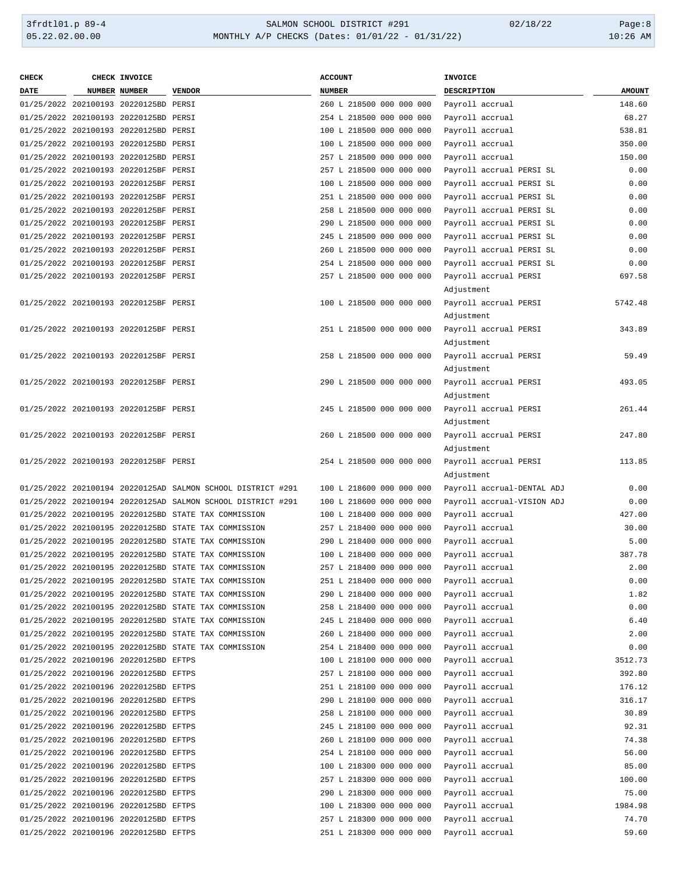#### 3frdtl01.p 89-4 SALMON SCHOOL DISTRICT #291 02/18/22 Page:8 05.22.02.00.00 MONTHLY A/P CHECKS (Dates: 01/01/22 - 01/31/22) 10:26 AM

| <b>CHECK</b> | CHECK INVOICE                         |                                                             | <b>ACCOUNT</b>           | <b>INVOICE</b>             |               |
|--------------|---------------------------------------|-------------------------------------------------------------|--------------------------|----------------------------|---------------|
| <b>DATE</b>  | NUMBER NUMBER                         | <b>VENDOR</b>                                               | <b>NUMBER</b>            | DESCRIPTION                | <b>AMOUNT</b> |
|              | 01/25/2022 202100193 20220125BD PERSI |                                                             | 260 L 218500 000 000 000 | Payroll accrual            | 148.60        |
|              | 01/25/2022 202100193 20220125BD PERSI |                                                             | 254 L 218500 000 000 000 | Payroll accrual            | 68.27         |
|              | 01/25/2022 202100193 20220125BD PERSI |                                                             | 100 L 218500 000 000 000 | Payroll accrual            | 538.81        |
|              | 01/25/2022 202100193 20220125BD PERSI |                                                             | 100 L 218500 000 000 000 | Payroll accrual            | 350.00        |
|              | 01/25/2022 202100193 20220125BD PERSI |                                                             | 257 L 218500 000 000 000 | Payroll accrual            | 150.00        |
|              | 01/25/2022 202100193 20220125BF PERSI |                                                             | 257 L 218500 000 000 000 | Payroll accrual PERSI SL   | 0.00          |
|              | 01/25/2022 202100193 20220125BF PERSI |                                                             | 100 L 218500 000 000 000 | Payroll accrual PERSI SL   | 0.00          |
|              | 01/25/2022 202100193 20220125BF PERSI |                                                             | 251 L 218500 000 000 000 | Payroll accrual PERSI SL   | 0.00          |
|              | 01/25/2022 202100193 20220125BF PERSI |                                                             | 258 L 218500 000 000 000 | Payroll accrual PERSI SL   | 0.00          |
|              | 01/25/2022 202100193 20220125BF PERSI |                                                             | 290 L 218500 000 000 000 | Payroll accrual PERSI SL   | 0.00          |
|              | 01/25/2022 202100193 20220125BF PERSI |                                                             | 245 L 218500 000 000 000 | Payroll accrual PERSI SL   | 0.00          |
|              | 01/25/2022 202100193 20220125BF PERSI |                                                             | 260 L 218500 000 000 000 | Payroll accrual PERSI SL   | 0.00          |
|              | 01/25/2022 202100193 20220125BF PERSI |                                                             | 254 L 218500 000 000 000 | Payroll accrual PERSI SL   | 0.00          |
|              | 01/25/2022 202100193 20220125BF PERSI |                                                             | 257 L 218500 000 000 000 | Payroll accrual PERSI      | 697.58        |
|              |                                       |                                                             |                          | Adjustment                 |               |
|              | 01/25/2022 202100193 20220125BF PERSI |                                                             | 100 L 218500 000 000 000 | Payroll accrual PERSI      | 5742.48       |
|              |                                       |                                                             |                          | Adjustment                 |               |
|              | 01/25/2022 202100193 20220125BF PERSI |                                                             | 251 L 218500 000 000 000 | Payroll accrual PERSI      | 343.89        |
|              |                                       |                                                             |                          |                            |               |
|              |                                       |                                                             |                          | Adjustment                 |               |
|              | 01/25/2022 202100193 20220125BF PERSI |                                                             | 258 L 218500 000 000 000 | Payroll accrual PERSI      | 59.49         |
|              |                                       |                                                             |                          | Adjustment                 |               |
|              | 01/25/2022 202100193 20220125BF PERSI |                                                             | 290 L 218500 000 000 000 | Payroll accrual PERSI      | 493.05        |
|              |                                       |                                                             |                          | Adjustment                 |               |
|              | 01/25/2022 202100193 20220125BF PERSI |                                                             | 245 L 218500 000 000 000 | Payroll accrual PERSI      | 261.44        |
|              |                                       |                                                             |                          | Adjustment                 |               |
|              | 01/25/2022 202100193 20220125BF PERSI |                                                             | 260 L 218500 000 000 000 | Payroll accrual PERSI      | 247.80        |
|              |                                       |                                                             |                          | Adjustment                 |               |
|              | 01/25/2022 202100193 20220125BF PERSI |                                                             | 254 L 218500 000 000 000 | Payroll accrual PERSI      | 113.85        |
|              |                                       |                                                             |                          | Adjustment                 |               |
|              |                                       | 01/25/2022 202100194 20220125AD SALMON SCHOOL DISTRICT #291 | 100 L 218600 000 000 000 | Payroll accrual-DENTAL ADJ | 0.00          |
|              |                                       | 01/25/2022 202100194 20220125AD SALMON SCHOOL DISTRICT #291 | 100 L 218600 000 000 000 | Payroll accrual-VISION ADJ | 0.00          |
|              |                                       | 01/25/2022 202100195 20220125BD STATE TAX COMMISSION        | 100 L 218400 000 000 000 | Payroll accrual            | 427.00        |
|              |                                       | 01/25/2022 202100195 20220125BD STATE TAX COMMISSION        | 257 L 218400 000 000 000 | Payroll accrual            | 30.00         |
|              |                                       | 01/25/2022 202100195 20220125BD STATE TAX COMMISSION        | 290 L 218400 000 000 000 | Payroll accrual            | 5.00          |
|              |                                       | 01/25/2022 202100195 20220125BD STATE TAX COMMISSION        | 100 L 218400 000 000 000 | Payroll accrual            | 387.78        |
|              |                                       | 01/25/2022 202100195 20220125BD STATE TAX COMMISSION        | 257 L 218400 000 000 000 | Payroll accrual            | 2.00          |
|              |                                       | 01/25/2022 202100195 20220125BD STATE TAX COMMISSION        | 251 L 218400 000 000 000 | Payroll accrual            | 0.00          |
|              |                                       | 01/25/2022 202100195 20220125BD STATE TAX COMMISSION        | 290 L 218400 000 000 000 | Payroll accrual            | 1.82          |
|              |                                       | 01/25/2022 202100195 20220125BD STATE TAX COMMISSION        | 258 L 218400 000 000 000 | Payroll accrual            | 0.00          |
|              |                                       | 01/25/2022 202100195 20220125BD STATE TAX COMMISSION        | 245 L 218400 000 000 000 | Payroll accrual            | 6.40          |
|              |                                       | 01/25/2022 202100195 20220125BD STATE TAX COMMISSION        | 260 L 218400 000 000 000 | Payroll accrual            | 2.00          |
|              |                                       | 01/25/2022 202100195 20220125BD STATE TAX COMMISSION        | 254 L 218400 000 000 000 | Payroll accrual            | 0.00          |
|              | 01/25/2022 202100196 20220125BD EFTPS |                                                             | 100 L 218100 000 000 000 | Payroll accrual            | 3512.73       |
|              | 01/25/2022 202100196 20220125BD EFTPS |                                                             | 257 L 218100 000 000 000 | Payroll accrual            | 392.80        |
|              | 01/25/2022 202100196 20220125BD EFTPS |                                                             | 251 L 218100 000 000 000 | Payroll accrual            | 176.12        |
|              | 01/25/2022 202100196 20220125BD EFTPS |                                                             | 290 L 218100 000 000 000 | Payroll accrual            | 316.17        |
|              | 01/25/2022 202100196 20220125BD EFTPS |                                                             | 258 L 218100 000 000 000 | Payroll accrual            | 30.89         |
|              | 01/25/2022 202100196 20220125BD EFTPS |                                                             | 245 L 218100 000 000 000 | Payroll accrual            | 92.31         |
|              | 01/25/2022 202100196 20220125BD EFTPS |                                                             | 260 L 218100 000 000 000 | Payroll accrual            | 74.38         |
|              | 01/25/2022 202100196 20220125BD EFTPS |                                                             | 254 L 218100 000 000 000 | Payroll accrual            | 56.00         |
|              | 01/25/2022 202100196 20220125BD EFTPS |                                                             | 100 L 218300 000 000 000 | Payroll accrual            | 85.00         |
|              | 01/25/2022 202100196 20220125BD EFTPS |                                                             | 257 L 218300 000 000 000 | Payroll accrual            | 100.00        |
|              | 01/25/2022 202100196 20220125BD EFTPS |                                                             | 290 L 218300 000 000 000 | Payroll accrual            | 75.00         |
|              | 01/25/2022 202100196 20220125BD EFTPS |                                                             | 100 L 218300 000 000 000 |                            | 1984.98       |
|              |                                       |                                                             |                          | Payroll accrual            |               |
|              | 01/25/2022 202100196 20220125BD EFTPS |                                                             | 257 L 218300 000 000 000 | Payroll accrual            | 74.70         |
|              | 01/25/2022 202100196 20220125BD EFTPS |                                                             | 251 L 218300 000 000 000 | Payroll accrual            | 59.60         |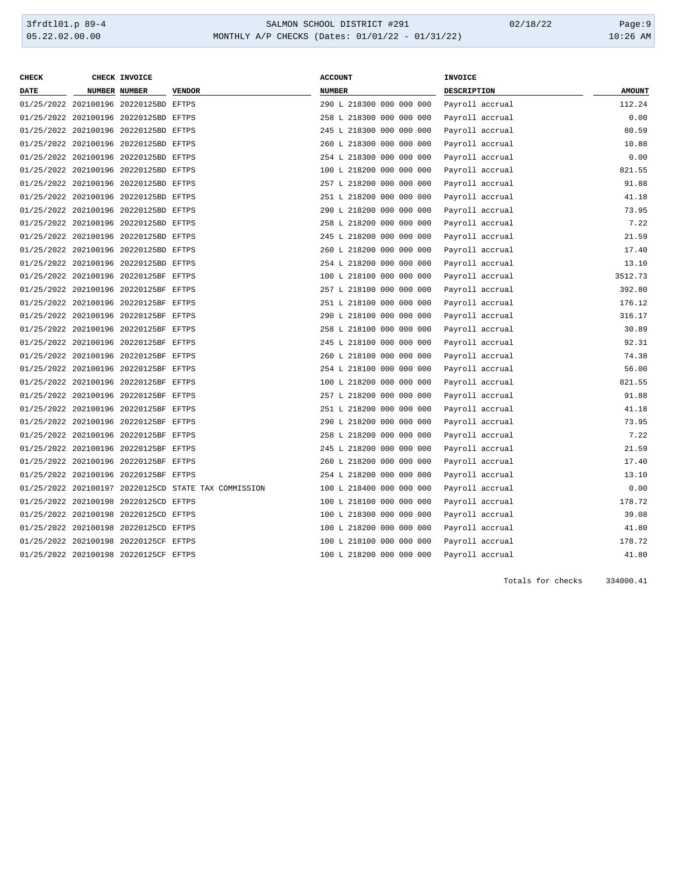# 3frdtl01.p 89-4 <br>
35.22.02.00.00 <br>
35.22.02.00.00 MONTHLY A/P CHECKS (Dates: 01/01/22 - 01/31/22) <br>
35.22.02.00.00 MONTHLY A/P CHECKS (Dates: 01/01/22 - 01/31/22) MONTHLY A/P CHECKS (Dates: 01/01/22 - 01/31/22)

| <b>CHECK</b> | CHECK INVOICE                         |                                                      | <b>ACCOUNT</b>           | <b>INVOICE</b>     |               |
|--------------|---------------------------------------|------------------------------------------------------|--------------------------|--------------------|---------------|
| <b>DATE</b>  | <b>NUMBER NUMBER</b>                  | <b>VENDOR</b>                                        | <b>NUMBER</b>            | <b>DESCRIPTION</b> | <b>AMOUNT</b> |
|              | 01/25/2022 202100196 20220125BD EFTPS |                                                      | 290 L 218300 000 000 000 | Payroll accrual    | 112.24        |
|              | 01/25/2022 202100196 20220125BD EFTPS |                                                      | 258 L 218300 000 000 000 | Payroll accrual    | 0.00          |
|              | 01/25/2022 202100196 20220125BD EFTPS |                                                      | 245 L 218300 000 000 000 | Payroll accrual    | 80.59         |
|              | 01/25/2022 202100196 20220125BD EFTPS |                                                      | 260 L 218300 000 000 000 | Payroll accrual    | 10.88         |
|              | 01/25/2022 202100196 20220125BD EFTPS |                                                      | 254 L 218300 000 000 000 | Payroll accrual    | 0.00          |
|              | 01/25/2022 202100196 20220125BD EFTPS |                                                      | 100 L 218200 000 000 000 | Payroll accrual    | 821.55        |
|              | 01/25/2022 202100196 20220125BD EFTPS |                                                      | 257 L 218200 000 000 000 | Payroll accrual    | 91.88         |
|              | 01/25/2022 202100196 20220125BD EFTPS |                                                      | 251 L 218200 000 000 000 | Payroll accrual    | 41.18         |
|              | 01/25/2022 202100196 20220125BD EFTPS |                                                      | 290 L 218200 000 000 000 | Payroll accrual    | 73.95         |
|              | 01/25/2022 202100196 20220125BD EFTPS |                                                      | 258 L 218200 000 000 000 | Payroll accrual    | 7.22          |
|              | 01/25/2022 202100196 20220125BD EFTPS |                                                      | 245 L 218200 000 000 000 | Payroll accrual    | 21.59         |
|              | 01/25/2022 202100196 20220125BD EFTPS |                                                      | 260 L 218200 000 000 000 | Payroll accrual    | 17.40         |
|              | 01/25/2022 202100196 20220125BD EFTPS |                                                      | 254 L 218200 000 000 000 | Payroll accrual    | 13.10         |
|              | 01/25/2022 202100196 20220125BF EFTPS |                                                      | 100 L 218100 000 000 000 | Payroll accrual    | 3512.73       |
|              | 01/25/2022 202100196 20220125BF EFTPS |                                                      | 257 L 218100 000 000 000 | Payroll accrual    | 392.80        |
|              | 01/25/2022 202100196 20220125BF EFTPS |                                                      | 251 L 218100 000 000 000 | Payroll accrual    | 176.12        |
|              | 01/25/2022 202100196 20220125BF EFTPS |                                                      | 290 L 218100 000 000 000 | Payroll accrual    | 316.17        |
|              | 01/25/2022 202100196 20220125BF EFTPS |                                                      | 258 L 218100 000 000 000 | Payroll accrual    | 30.89         |
|              | 01/25/2022 202100196 20220125BF EFTPS |                                                      | 245 L 218100 000 000 000 | Payroll accrual    | 92.31         |
|              | 01/25/2022 202100196 20220125BF EFTPS |                                                      | 260 L 218100 000 000 000 | Payroll accrual    | 74.38         |
|              | 01/25/2022 202100196 20220125BF EFTPS |                                                      | 254 L 218100 000 000 000 | Payroll accrual    | 56.00         |
|              | 01/25/2022 202100196 20220125BF EFTPS |                                                      | 100 L 218200 000 000 000 | Payroll accrual    | 821.55        |
|              | 01/25/2022 202100196 20220125BF EFTPS |                                                      | 257 L 218200 000 000 000 | Payroll accrual    | 91.88         |
|              | 01/25/2022 202100196 20220125BF EFTPS |                                                      | 251 L 218200 000 000 000 | Payroll accrual    | 41.18         |
|              | 01/25/2022 202100196 20220125BF EFTPS |                                                      | 290 L 218200 000 000 000 | Payroll accrual    | 73.95         |
|              | 01/25/2022 202100196 20220125BF EFTPS |                                                      | 258 L 218200 000 000 000 | Payroll accrual    | 7.22          |
|              | 01/25/2022 202100196 20220125BF EFTPS |                                                      | 245 L 218200 000 000 000 | Payroll accrual    | 21.59         |
|              | 01/25/2022 202100196 20220125BF EFTPS |                                                      | 260 L 218200 000 000 000 | Payroll accrual    | 17.40         |
|              | 01/25/2022 202100196 20220125BF EFTPS |                                                      | 254 L 218200 000 000 000 | Payroll accrual    | 13.10         |
|              |                                       | 01/25/2022 202100197 20220125CD STATE TAX COMMISSION | 100 L 218400 000 000 000 | Payroll accrual    | 0.00          |
|              | 01/25/2022 202100198 20220125CD EFTPS |                                                      | 100 L 218100 000 000 000 | Payroll accrual    | 178.72        |
|              | 01/25/2022 202100198 20220125CD EFTPS |                                                      | 100 L 218300 000 000 000 | Payroll accrual    | 39.08         |
|              | 01/25/2022 202100198 20220125CD EFTPS |                                                      | 100 L 218200 000 000 000 | Payroll accrual    | 41.80         |
|              | 01/25/2022 202100198 20220125CF EFTPS |                                                      | 100 L 218100 000 000 000 | Payroll accrual    | 178.72        |
|              | 01/25/2022 202100198 20220125CF EFTPS |                                                      | 100 L 218200 000 000 000 | Payroll accrual    | 41.80         |
|              |                                       |                                                      |                          |                    |               |

Totals for checks 334000.41